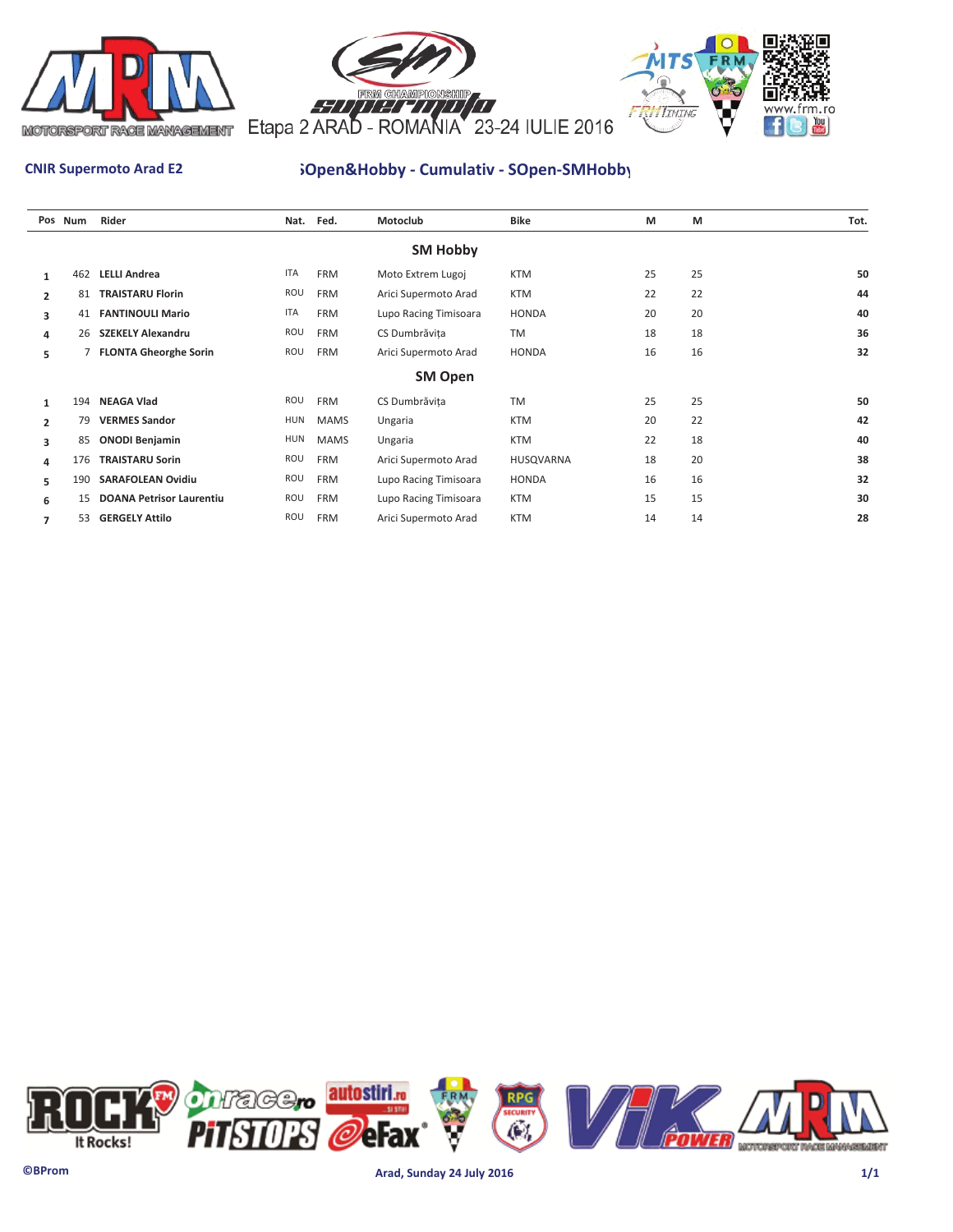





# **CNIR Supermoto Arad E2 SOpen&Hobby - Cumulativ - SOpen-SMHobby**

|                | Pos Num | Rider                           | Nat.       | Fed.        | Motoclub              | Bike             | M  | M  | Tot. |  |  |  |  |  |  |
|----------------|---------|---------------------------------|------------|-------------|-----------------------|------------------|----|----|------|--|--|--|--|--|--|
|                |         |                                 |            |             | <b>SM Hobby</b>       |                  |    |    |      |  |  |  |  |  |  |
| 1              | 462     | <b>LELLI Andrea</b>             | <b>ITA</b> | <b>FRM</b>  | Moto Extrem Lugoj     | <b>KTM</b>       | 25 | 25 | 50   |  |  |  |  |  |  |
| $\overline{2}$ | 81      | <b>TRAISTARU Florin</b>         | ROU        | <b>FRM</b>  | Arici Supermoto Arad  | <b>KTM</b>       | 22 | 22 | 44   |  |  |  |  |  |  |
| 3              | 41      | <b>FANTINOULI Mario</b>         | ITA        | <b>FRM</b>  | Lupo Racing Timisoara | <b>HONDA</b>     | 20 | 20 | 40   |  |  |  |  |  |  |
| 4              | 26      | <b>SZEKELY Alexandru</b>        | ROU        | <b>FRM</b>  | CS Dumbrăvița         | <b>TM</b>        | 18 | 18 | 36   |  |  |  |  |  |  |
| 5              |         | 7 FLONTA Gheorghe Sorin         | ROU        | <b>FRM</b>  | Arici Supermoto Arad  | <b>HONDA</b>     | 16 | 16 | 32   |  |  |  |  |  |  |
|                | SM Open |                                 |            |             |                       |                  |    |    |      |  |  |  |  |  |  |
| 1              | 194     | <b>NEAGA Vlad</b>               | ROU        | <b>FRM</b>  | CS Dumbrăvița         | <b>TM</b>        | 25 | 25 | 50   |  |  |  |  |  |  |
| $\overline{2}$ | 79      | <b>VERMES Sandor</b>            | <b>HUN</b> | <b>MAMS</b> | Ungaria               | <b>KTM</b>       | 20 | 22 | 42   |  |  |  |  |  |  |
| 3              | 85      | <b>ONODI Benjamin</b>           | <b>HUN</b> | <b>MAMS</b> | Ungaria               | <b>KTM</b>       | 22 | 18 | 40   |  |  |  |  |  |  |
| 4              | 176     | <b>TRAISTARU Sorin</b>          | ROU        | <b>FRM</b>  | Arici Supermoto Arad  | <b>HUSQVARNA</b> | 18 | 20 | 38   |  |  |  |  |  |  |
| 5              | 190     | <b>SARAFOLEAN Ovidiu</b>        | ROU        | <b>FRM</b>  | Lupo Racing Timisoara | <b>HONDA</b>     | 16 | 16 | 32   |  |  |  |  |  |  |
| 6              | 15      | <b>DOANA Petrisor Laurentiu</b> | ROU        | <b>FRM</b>  | Lupo Racing Timisoara | <b>KTM</b>       | 15 | 15 | 30   |  |  |  |  |  |  |
| 7              | 53      | <b>GERGELY Attilo</b>           | ROU        | <b>FRM</b>  | Arici Supermoto Arad  | <b>KTM</b>       | 14 | 14 | 28   |  |  |  |  |  |  |

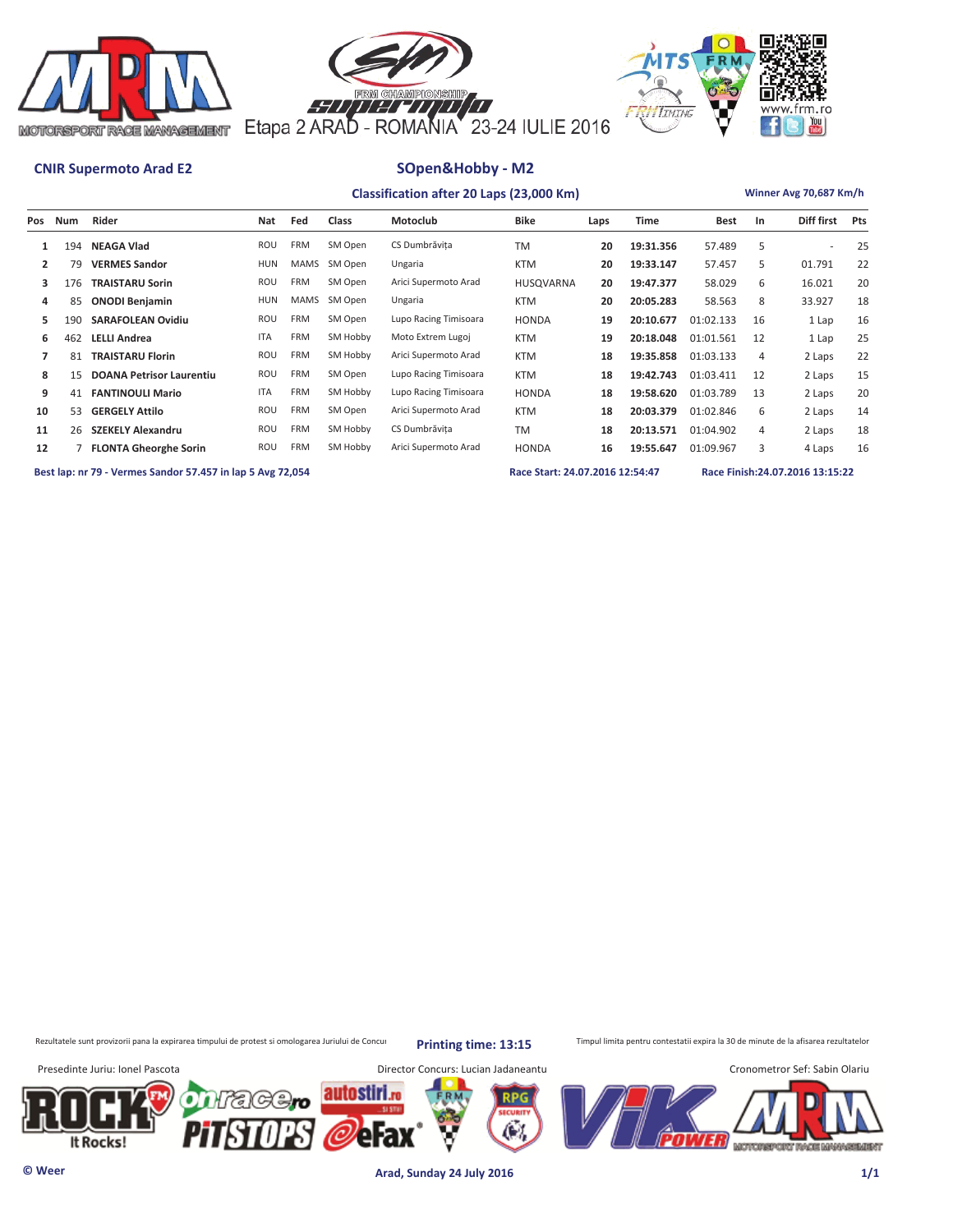





|     |     |                                 |            |             |          | Classification after 20 Laps (23,000 Km) |              |      |             |             |    | Winner Avg 70,687 Km/h |            |
|-----|-----|---------------------------------|------------|-------------|----------|------------------------------------------|--------------|------|-------------|-------------|----|------------------------|------------|
| Pos | Num | Rider                           | Nat        | Fed         | Class    | Motoclub                                 | <b>Bike</b>  | Laps | <b>Time</b> | <b>Best</b> | In | <b>Diff first</b>      | <b>Pts</b> |
| 1   | 194 | <b>NEAGA Vlad</b>               | ROU        | <b>FRM</b>  | SM Open  | CS Dumbrăvita                            | <b>TM</b>    | 20   | 19:31.356   | 57.489      | 5  | ж.                     | 25         |
| 2   | 79  | <b>VERMES Sandor</b>            | HUN        | MAMS        | SM Open  | Ungaria                                  | <b>KTM</b>   | 20   | 19:33.147   | 57.457      | 5  | 01.791                 | 22         |
| 3   | 176 | <b>TRAISTARU Sorin</b>          | ROU        | <b>FRM</b>  | SM Open  | Arici Supermoto Arad                     | HUSQVARNA    | 20   | 19:47.377   | 58.029      | 6  | 16.021                 | 20         |
| 4   | 85  | <b>ONODI Benjamin</b>           | HUN        | <b>MAMS</b> | SM Open  | Ungaria                                  | <b>KTM</b>   | 20   | 20:05.283   | 58.563      | 8  | 33.927                 | 18         |
| 5.  | 190 | <b>SARAFOLEAN Ovidiu</b>        | ROU        | <b>FRM</b>  | SM Open  | Lupo Racing Timisoara                    | <b>HONDA</b> | 19   | 20:10.677   | 01:02.133   | 16 | 1 Lap                  | 16         |
| 6   | 462 | <b>LELLI Andrea</b>             | <b>ITA</b> | <b>FRM</b>  | SM Hobby | Moto Extrem Lugoj                        | <b>KTM</b>   | 19   | 20:18.048   | 01:01.561   | 12 | 1 Lap                  | 25         |
|     | 81  | <b>TRAISTARU Florin</b>         | ROU        | <b>FRM</b>  | SM Hobby | Arici Supermoto Arad                     | <b>KTM</b>   | 18   | 19:35.858   | 01:03.133   | 4  | 2 Laps                 | 22         |
| 8   | 15  | <b>DOANA Petrisor Laurentiu</b> | ROU        | <b>FRM</b>  | SM Open  | Lupo Racing Timisoara                    | <b>KTM</b>   | 18   | 19:42.743   | 01:03.411   | 12 | 2 Laps                 | 15         |
| 9   | 41  | <b>FANTINOULI Mario</b>         | <b>ITA</b> | <b>FRM</b>  | SM Hobby | Lupo Racing Timisoara                    | <b>HONDA</b> | 18   | 19:58.620   | 01:03.789   | 13 | 2 Laps                 | 20         |

 **10** 53 **GERGELY Attilo** ROU FRM SM Open Arici Supermoto Arad KTM **18 20:03.379** 01:02.846 6 2 Laps 14 11 26 SZEKELY Alexandru **ROU FRM SM Hobby CS Dumbrăvița** TM 18 20:13.571 01:04.902 4 2 Laps 18  **12** 7 **FLONTA Gheorghe Sorin** ROU FRM SM Hobby Arici Supermoto Arad HONDA **16 19:55.647** 01:09.967 3 4 Laps 16

**Best lap: nr 79 - Vermes Sandor 57.457 in lap 5 Avg 72,054 Race Start: 24.07.2016 12:54:47 Race Finish:24.07.2016 13:15:22** 

Rezultatele sunt provizorii pana la expirarea timpului de protest si omologarea Juriului de Concurs printin ptimpe: 13:15 Timpul limita pentru contestatii expira la 30 de minute de la afisarea rezultatelor

**Printing time: 13:15**

Presedinte Juriu: Ionel Pascota Director Concurs: Lucian Jadaneantu Cronometror Sef: Sabin Olariu autostiri ⊱жж eFax It Rocks! MOTOREPORT RACE MANAGEMENT

**© Weer Arad, Sunday 24 July 2016 1/1**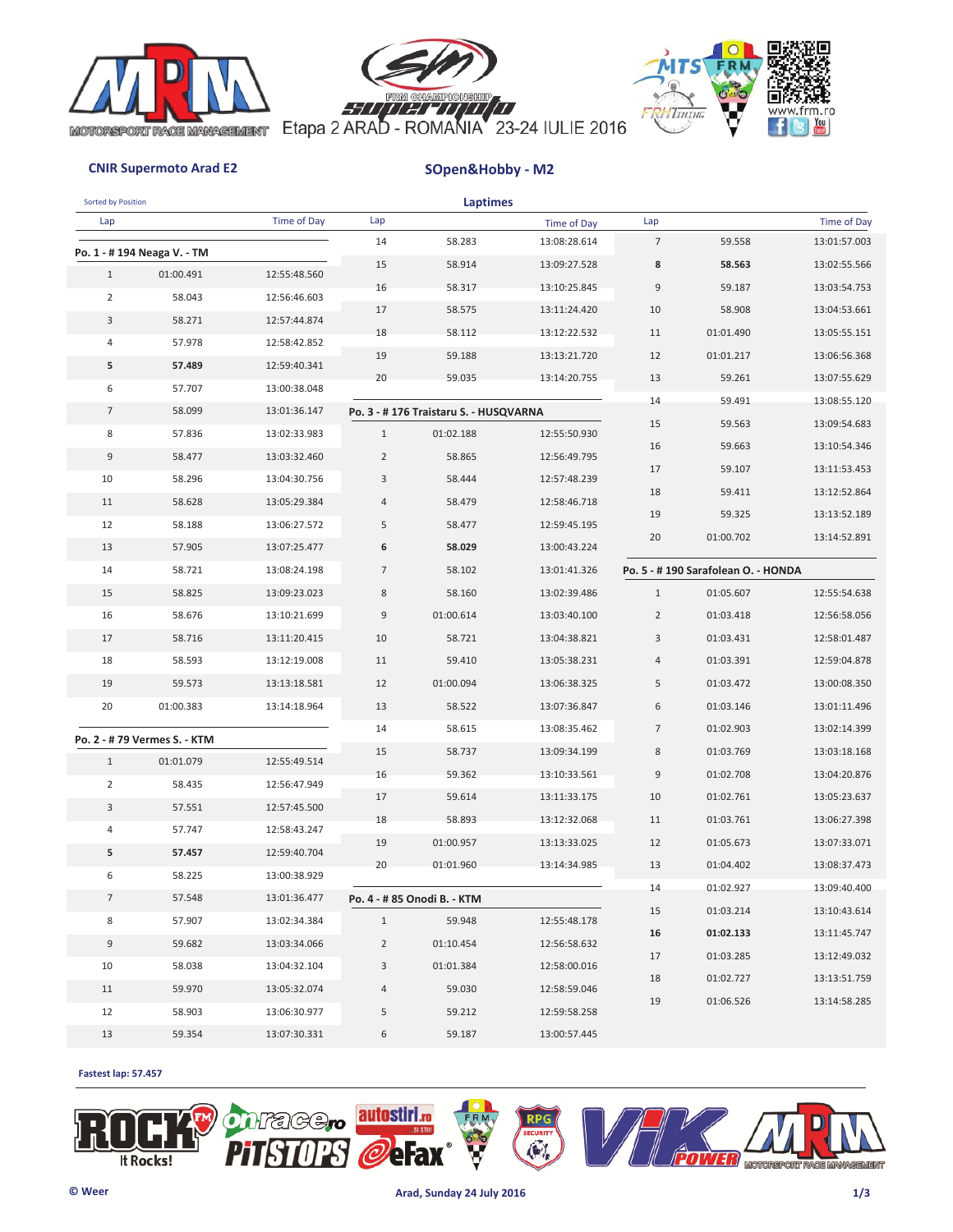





| <b>Sorted by Position</b> |                              |              |                | <b>Laptimes</b>                       |              |                |                                    |              |
|---------------------------|------------------------------|--------------|----------------|---------------------------------------|--------------|----------------|------------------------------------|--------------|
| Lap                       |                              | Time of Day  | Lap            |                                       | Time of Day  | Lap            |                                    | Time of Day  |
|                           | Po. 1 - #194 Neaga V. - TM   |              | 14             | 58.283                                | 13:08:28.614 | $\overline{7}$ | 59.558                             | 13:01:57.003 |
| $\mathbf{1}$              | 01:00.491                    | 12:55:48.560 | 15             | 58.914                                | 13:09:27.528 | 8              | 58.563                             | 13:02:55.566 |
| $\overline{2}$            | 58.043                       | 12:56:46.603 | 16             | 58.317                                | 13:10:25.845 | 9              | 59.187                             | 13:03:54.753 |
| 3                         | 58.271                       | 12:57:44.874 | 17             | 58.575                                | 13:11:24.420 | 10             | 58.908                             | 13:04:53.661 |
| 4                         | 57.978                       | 12:58:42.852 | 18             | 58.112                                | 13:12:22.532 | 11             | 01:01.490                          | 13:05:55.151 |
| 5                         | 57.489                       | 12:59:40.341 | 19             | 59.188                                | 13:13:21.720 | 12             | 01:01.217                          | 13:06:56.368 |
| 6                         | 57.707                       | 13:00:38.048 | 20             | 59.035                                | 13:14:20.755 | 13             | 59.261                             | 13:07:55.629 |
| $7\overline{ }$           | 58.099                       | 13:01:36.147 |                |                                       |              | 14             | 59.491                             | 13:08:55.120 |
|                           |                              |              |                | Po. 3 - #176 Traistaru S. - HUSQVARNA |              | 15             | 59.563                             | 13:09:54.683 |
| 8                         | 57.836                       | 13:02:33.983 | $\mathbf{1}$   | 01:02.188                             | 12:55:50.930 | 16             | 59.663                             | 13:10:54.346 |
| $\,9$                     | 58.477                       | 13:03:32.460 | $\overline{2}$ | 58.865                                | 12:56:49.795 | 17             | 59.107                             | 13:11:53.453 |
| 10                        | 58.296                       | 13:04:30.756 | 3              | 58.444                                | 12:57:48.239 | 18             | 59.411                             | 13:12:52.864 |
| 11                        | 58.628                       | 13:05:29.384 | $\overline{4}$ | 58.479                                | 12:58:46.718 | 19             | 59.325                             | 13:13:52.189 |
|                           | 12<br>58.188<br>13:06:27.572 |              | 5              | 58.477                                | 12:59:45.195 | 20             | 01:00.702                          | 13:14:52.891 |
| 13                        | 57.905                       | 13:07:25.477 | 6              | 58.029                                | 13:00:43.224 |                |                                    |              |
| 14                        | 58.721<br>13:08:24.198       |              | $\overline{7}$ | 58.102                                | 13:01:41.326 |                | Po. 5 - #190 Sarafolean O. - HONDA |              |
| 15                        | 58.825                       | 13:09:23.023 | 8              | 58.160                                | 13:02:39.486 | $\mathbf{1}$   | 01:05.607                          | 12:55:54.638 |
| 16                        | 58.676                       | 13:10:21.699 | 9              | 01:00.614                             | 13:03:40.100 | $\overline{2}$ | 01:03.418                          | 12:56:58.056 |
| 17                        | 58.716                       | 13:11:20.415 | 10             | 58.721                                | 13:04:38.821 | 3              | 01:03.431                          | 12:58:01.487 |
| 18                        | 58.593                       | 13:12:19.008 | 11             | 59.410                                | 13:05:38.231 | 4              | 01:03.391                          | 12:59:04.878 |
| 19                        | 59.573                       | 13:13:18.581 | 12             | 01:00.094                             | 13:06:38.325 | 5              | 01:03.472                          | 13:00:08.350 |
| 20                        | 01:00.383                    | 13:14:18.964 | 13             | 58.522                                | 13:07:36.847 | 6              | 01:03.146                          | 13:01:11.496 |
|                           | Po. 2 - # 79 Vermes S. - KTM |              | 14             | 58.615                                | 13:08:35.462 | $\overline{7}$ | 01:02.903                          | 13:02:14.399 |
| $\mathbf{1}$              | 01:01.079                    | 12:55:49.514 | 15             | 58.737                                | 13:09:34.199 | 8              | 01:03.769                          | 13:03:18.168 |
| $\overline{2}$            | 58.435                       | 12:56:47.949 | 16             | 59.362                                | 13:10:33.561 | 9              | 01:02.708                          | 13:04:20.876 |
| 3                         | 57.551                       | 12:57:45.500 | 17             | 59.614                                | 13:11:33.175 | 10             | 01:02.761                          | 13:05:23.637 |
| 4                         | 57.747                       | 12:58:43.247 | 18             | 58.893                                | 13:12:32.068 | 11             | 01:03.761                          | 13:06:27.398 |
| 5                         | 57.457                       | 12:59:40.704 | 19             | 01:00.957                             | 13:13:33.025 | 12             | 01:05.673                          | 13:07:33.071 |
|                           |                              |              | 20             | 01:01.960                             | 13:14:34.985 | 13             | 01:04.402                          | 13:08:37.473 |
|                           | 6<br>58.225<br>13:00:38.929  |              |                |                                       |              | 14             | 01:02.927                          | 13:09:40.400 |
| $\overline{7}$            | 57.548                       | 13:01:36.477 |                | Po. 4 - # 85 Onodi B. - KTM           |              | 15             | 01:03.214                          | 13:10:43.614 |
| 8                         | 57.907                       | 13:02:34.384 | $\mathbf{1}$   | 59.948                                | 12:55:48.178 | 16             | 01:02.133                          | 13:11:45.747 |
| 9                         | 59.682                       | 13:03:34.066 | $\overline{2}$ | 01:10.454                             | 12:56:58.632 | 17             | 01:03.285                          | 13:12:49.032 |
| 10                        | 58.038                       | 13:04:32.104 | 3              | 01:01.384                             | 12:58:00.016 | 18             | 01:02.727                          | 13:13:51.759 |
| 11                        | 59.970                       | 13:05:32.074 | 4              | 59.030                                | 12:58:59.046 | 19             | 01:06.526                          | 13:14:58.285 |
| 12                        | 58.903                       | 13:06:30.977 | 5              | 59.212                                | 12:59:58.258 |                |                                    |              |
| 13                        | 59.354                       | 13:07:30.331 | 6              | 59.187                                | 13:00:57.445 |                |                                    |              |

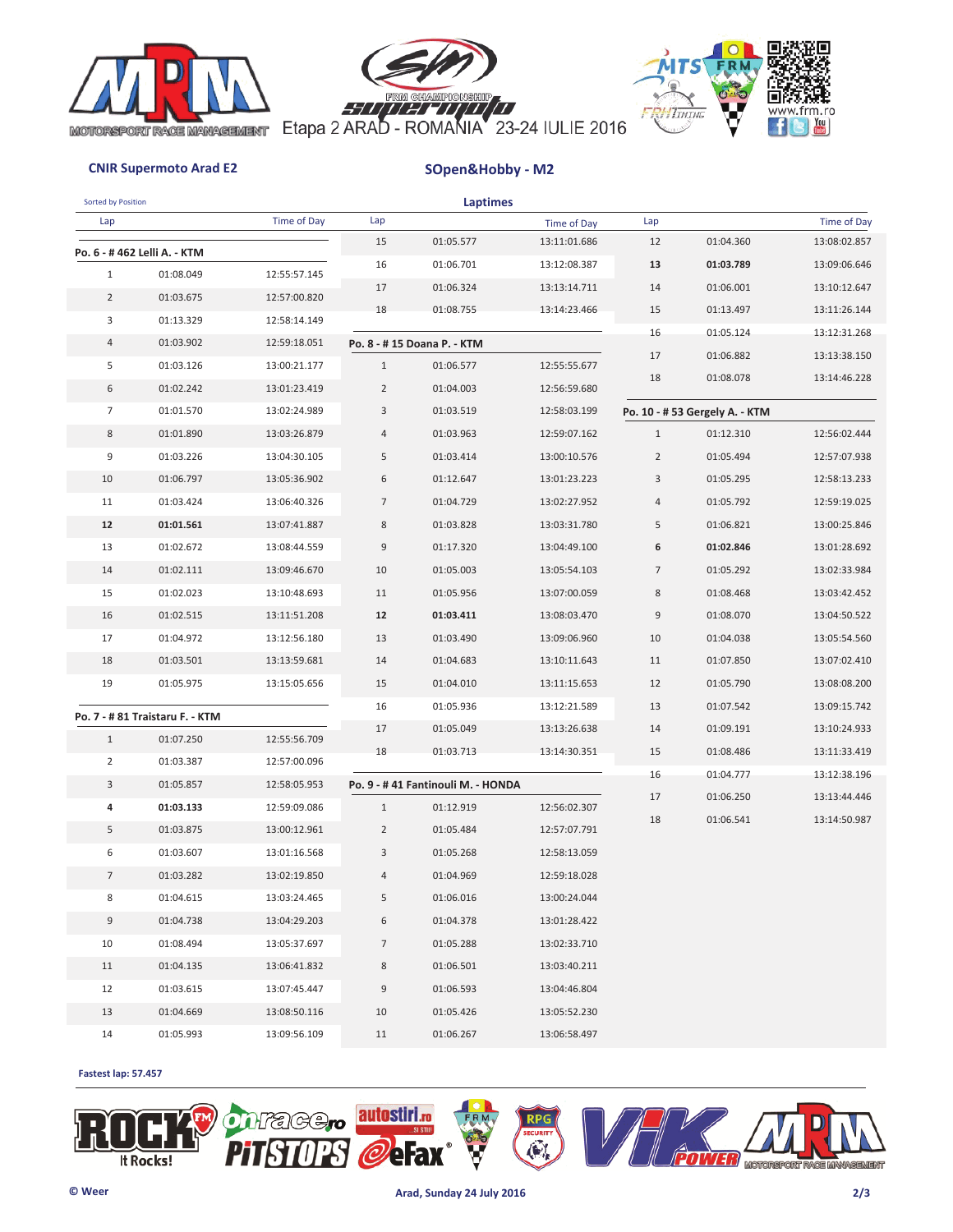





| Sorted by Position |                                 |              |                | <b>Laptimes</b>                   |              |                |                                |              |
|--------------------|---------------------------------|--------------|----------------|-----------------------------------|--------------|----------------|--------------------------------|--------------|
| Lap                |                                 | Time of Day  | Lap            |                                   | Time of Day  | Lap            |                                | Time of Day  |
|                    | Po. 6 - #462 Lelli A. - KTM     |              | 15             | 01:05.577                         | 13:11:01.686 | 12             | 01:04.360                      | 13:08:02.857 |
| $\mathbf{1}$       | 01:08.049                       | 12:55:57.145 | 16             | 01:06.701                         | 13:12:08.387 | 13             | 01:03.789                      | 13:09:06.646 |
| $\overline{2}$     | 01:03.675                       | 12:57:00.820 | 17             | 01:06.324                         | 13:13:14.711 | 14             | 01:06.001                      | 13:10:12.647 |
| 3                  | 01:13.329                       | 12:58:14.149 | 18             | 01:08.755                         | 13:14:23.466 | 15             | 01:13.497                      | 13:11:26.144 |
| 4                  | 01:03.902                       | 12:59:18.051 |                | Po. 8 - #15 Doana P. - KTM        |              | 16             | 01:05.124                      | 13:12:31.268 |
| 5                  | 01:03.126                       | 13:00:21.177 | $\mathbf{1}$   | 01:06.577                         | 12:55:55.677 | 17             | 01:06.882                      | 13:13:38.150 |
| 6                  | 01:02.242                       | 13:01:23.419 | $\overline{2}$ | 01:04.003                         | 12:56:59.680 | 18             | 01:08.078                      | 13:14:46.228 |
| $\overline{7}$     | 01:01.570                       | 13:02:24.989 | 3              | 01:03.519                         | 12:58:03.199 |                | Po. 10 - # 53 Gergely A. - KTM |              |
| 8                  | 01:01.890                       | 13:03:26.879 | 4              | 01:03.963                         | 12:59:07.162 | $\mathbf{1}$   | 01:12.310                      | 12:56:02.444 |
| 9                  | 01:03.226                       | 13:04:30.105 | 5              | 01:03.414                         | 13:00:10.576 | $\overline{2}$ | 01:05.494                      | 12:57:07.938 |
| 10                 | 01:06.797                       | 13:05:36.902 | 6              | 01:12.647                         | 13:01:23.223 | 3              | 01:05.295                      | 12:58:13.233 |
| 11                 | 01:03.424                       | 13:06:40.326 | $\overline{7}$ | 01:04.729                         | 13:02:27.952 | $\overline{4}$ | 01:05.792                      | 12:59:19.025 |
| 12                 | 01:01.561                       | 13:07:41.887 | $\,$ 8 $\,$    | 01:03.828                         | 13:03:31.780 | 5              | 01:06.821                      | 13:00:25.846 |
| 13                 | 01:02.672                       | 13:08:44.559 | $\mathsf 9$    | 01:17.320                         | 13:04:49.100 | 6              | 01:02.846                      | 13:01:28.692 |
| 14                 | 01:02.111                       | 13:09:46.670 | 10             | 01:05.003                         | 13:05:54.103 | $\overline{7}$ | 01:05.292                      | 13:02:33.984 |
| 15                 | 01:02.023                       | 13:10:48.693 | 11             | 01:05.956                         | 13:07:00.059 | 8              | 01:08.468                      | 13:03:42.452 |
| 16                 | 01:02.515                       | 13:11:51.208 | 12             | 01:03.411                         | 13:08:03.470 | $\mathsf 9$    | 01:08.070                      | 13:04:50.522 |
| 17                 | 01:04.972                       | 13:12:56.180 | 13             | 01:03.490                         | 13:09:06.960 | 10             | 01:04.038                      | 13:05:54.560 |
| 18                 | 01:03.501                       | 13:13:59.681 | 14             | 01:04.683                         | 13:10:11.643 | 11             | 01:07.850                      | 13:07:02.410 |
| 19                 | 01:05.975                       | 13:15:05.656 | 15             | 01:04.010                         | 13:11:15.653 | 12             | 01:05.790                      | 13:08:08.200 |
|                    |                                 |              | 16             | 01:05.936                         | 13:12:21.589 | 13             | 01:07.542                      | 13:09:15.742 |
|                    | Po. 7 - # 81 Traistaru F. - KTM |              | 17             | 01:05.049                         | 13:13:26.638 | 14             | 01:09.191                      | 13:10:24.933 |
| $\mathbf{1}$       | 01:07.250                       | 12:55:56.709 | 18             | 01:03.713                         | 13:14:30.351 | 15             | 01:08.486                      | 13:11:33.419 |
| $\overline{2}$     | 01:03.387                       | 12:57:00.096 |                |                                   |              | 16             | 01:04.777                      | 13:12:38.196 |
| 3                  | 01:05.857                       | 12:58:05.953 |                | Po. 9 - #41 Fantinouli M. - HONDA |              | 17             | 01:06.250                      | 13:13:44.446 |
| 4                  | 01:03.133                       | 12:59:09.086 | $\mathbf{1}$   | 01:12.919                         | 12:56:02.307 | 18             | 01:06.541                      | 13:14:50.987 |
| 5                  | 01:03.875                       | 13:00:12.961 | $\overline{2}$ | 01:05.484                         | 12:57:07.791 |                |                                |              |
| 6                  | 01:03.607                       | 13:01:16.568 | 3              | 01:05.268                         | 12:58:13.059 |                |                                |              |
| $\overline{7}$     | 01:03.282                       | 13:02:19.850 | 4              | 01:04.969                         | 12:59:18.028 |                |                                |              |
| 8                  | 01:04.615                       | 13:03:24.465 | 5              | 01:06.016                         | 13:00:24.044 |                |                                |              |
| 9                  | 01:04.738                       | 13:04:29.203 | 6              | 01:04.378                         | 13:01:28.422 |                |                                |              |
| 10                 | 01:08.494                       | 13:05:37.697 | $\overline{7}$ | 01:05.288                         | 13:02:33.710 |                |                                |              |
| 11                 | 01:04.135                       | 13:06:41.832 | 8              | 01:06.501                         | 13:03:40.211 |                |                                |              |
| 12                 | 01:03.615                       | 13:07:45.447 | 9              | 01:06.593                         | 13:04:46.804 |                |                                |              |
| 13                 | 01:04.669                       | 13:08:50.116 | 10             | 01:05.426                         | 13:05:52.230 |                |                                |              |
| 14                 | 01:05.993                       | 13:09:56.109 | 11             | 01:06.267                         | 13:06:58.497 |                |                                |              |

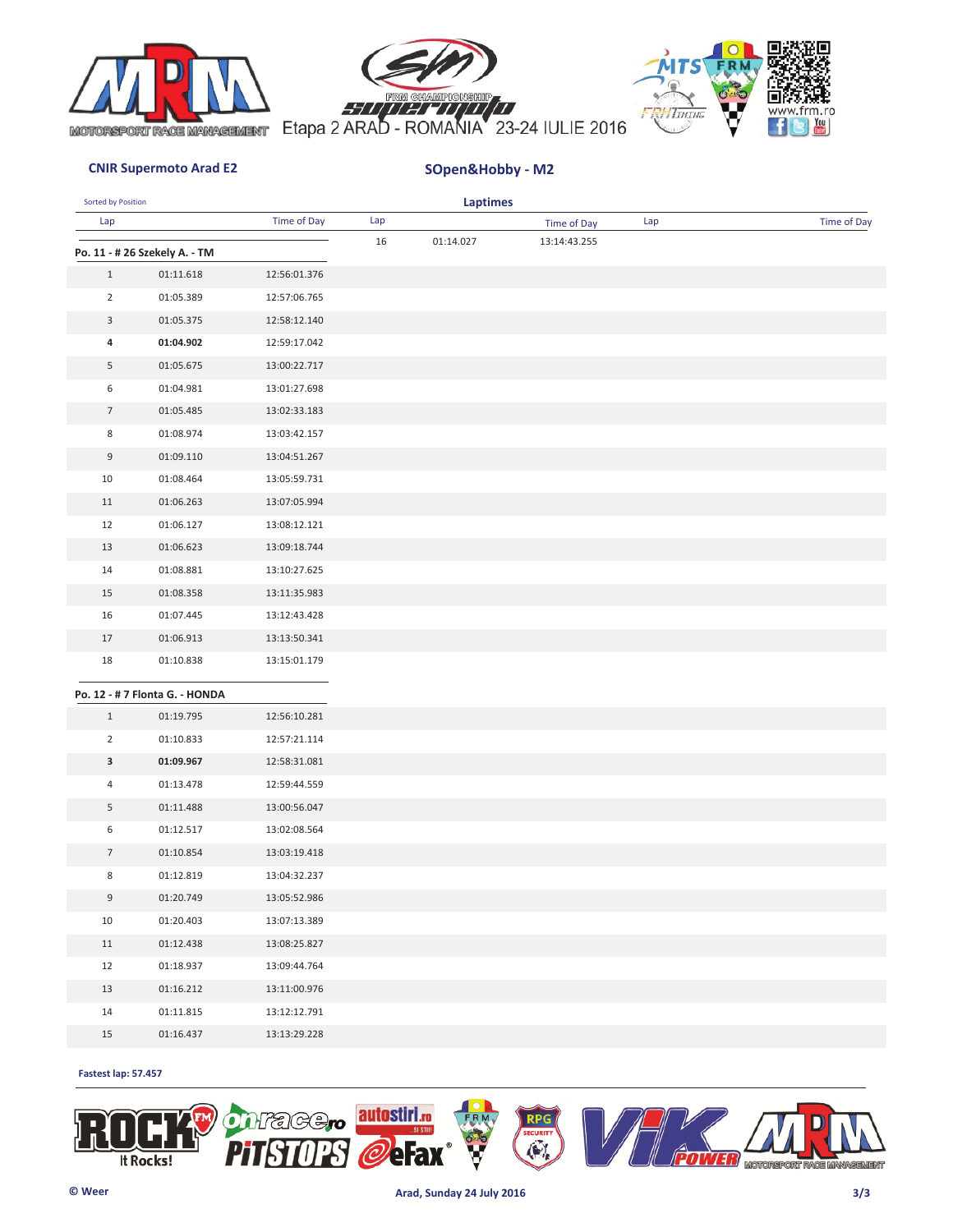





| Sorted by Position |                                |              |     | <b>Laptimes</b> |              |     |             |
|--------------------|--------------------------------|--------------|-----|-----------------|--------------|-----|-------------|
| Lap                |                                | Time of Day  | Lap |                 | Time of Day  | Lap | Time of Day |
|                    | Po. 11 - # 26 Szekely A. - TM  |              | 16  | 01:14.027       | 13:14:43.255 |     |             |
| $\mathbf{1}$       | 01:11.618                      | 12:56:01.376 |     |                 |              |     |             |
| $\overline{2}$     | 01:05.389                      | 12:57:06.765 |     |                 |              |     |             |
| 3                  | 01:05.375                      | 12:58:12.140 |     |                 |              |     |             |
| 4                  | 01:04.902                      | 12:59:17.042 |     |                 |              |     |             |
| 5                  | 01:05.675                      | 13:00:22.717 |     |                 |              |     |             |
| 6                  | 01:04.981                      | 13:01:27.698 |     |                 |              |     |             |
| $\overline{7}$     | 01:05.485                      | 13:02:33.183 |     |                 |              |     |             |
| 8                  | 01:08.974                      | 13:03:42.157 |     |                 |              |     |             |
| 9                  | 01:09.110                      | 13:04:51.267 |     |                 |              |     |             |
| 10                 | 01:08.464                      | 13:05:59.731 |     |                 |              |     |             |
| 11                 | 01:06.263                      | 13:07:05.994 |     |                 |              |     |             |
| 12                 | 01:06.127                      | 13:08:12.121 |     |                 |              |     |             |
| 13                 | 01:06.623                      | 13:09:18.744 |     |                 |              |     |             |
| 14                 | 01:08.881                      | 13:10:27.625 |     |                 |              |     |             |
| 15                 | 01:08.358                      | 13:11:35.983 |     |                 |              |     |             |
| 16                 | 01:07.445                      | 13:12:43.428 |     |                 |              |     |             |
| 17                 | 01:06.913                      | 13:13:50.341 |     |                 |              |     |             |
| 18                 | 01:10.838                      | 13:15:01.179 |     |                 |              |     |             |
|                    | Po. 12 - # 7 Flonta G. - HONDA |              |     |                 |              |     |             |
| $\mathbf{1}$       | 01:19.795                      | 12:56:10.281 |     |                 |              |     |             |
| $\overline{2}$     | 01:10.833                      | 12:57:21.114 |     |                 |              |     |             |
| 3                  | 01:09.967                      | 12:58:31.081 |     |                 |              |     |             |
| 4                  | 01:13.478                      | 12:59:44.559 |     |                 |              |     |             |
| 5                  | 01:11.488                      | 13:00:56.047 |     |                 |              |     |             |
| 6                  | 01:12.517                      | 13:02:08.564 |     |                 |              |     |             |
| $\overline{7}$     | 01:10.854                      | 13:03:19.418 |     |                 |              |     |             |
| 8                  | 01:12.819                      | 13:04:32.237 |     |                 |              |     |             |
| 9                  | 01:20.749                      | 13:05:52.986 |     |                 |              |     |             |
| 10                 | 01:20.403                      | 13:07:13.389 |     |                 |              |     |             |
| 11                 | 01:12.438                      | 13:08:25.827 |     |                 |              |     |             |
| 12                 | 01:18.937                      | 13:09:44.764 |     |                 |              |     |             |
| 13                 | 01:16.212                      | 13:11:00.976 |     |                 |              |     |             |
| 14                 | 01:11.815                      | 13:12:12.791 |     |                 |              |     |             |
| 15                 | 01:16.437                      | 13:13:29.228 |     |                 |              |     |             |

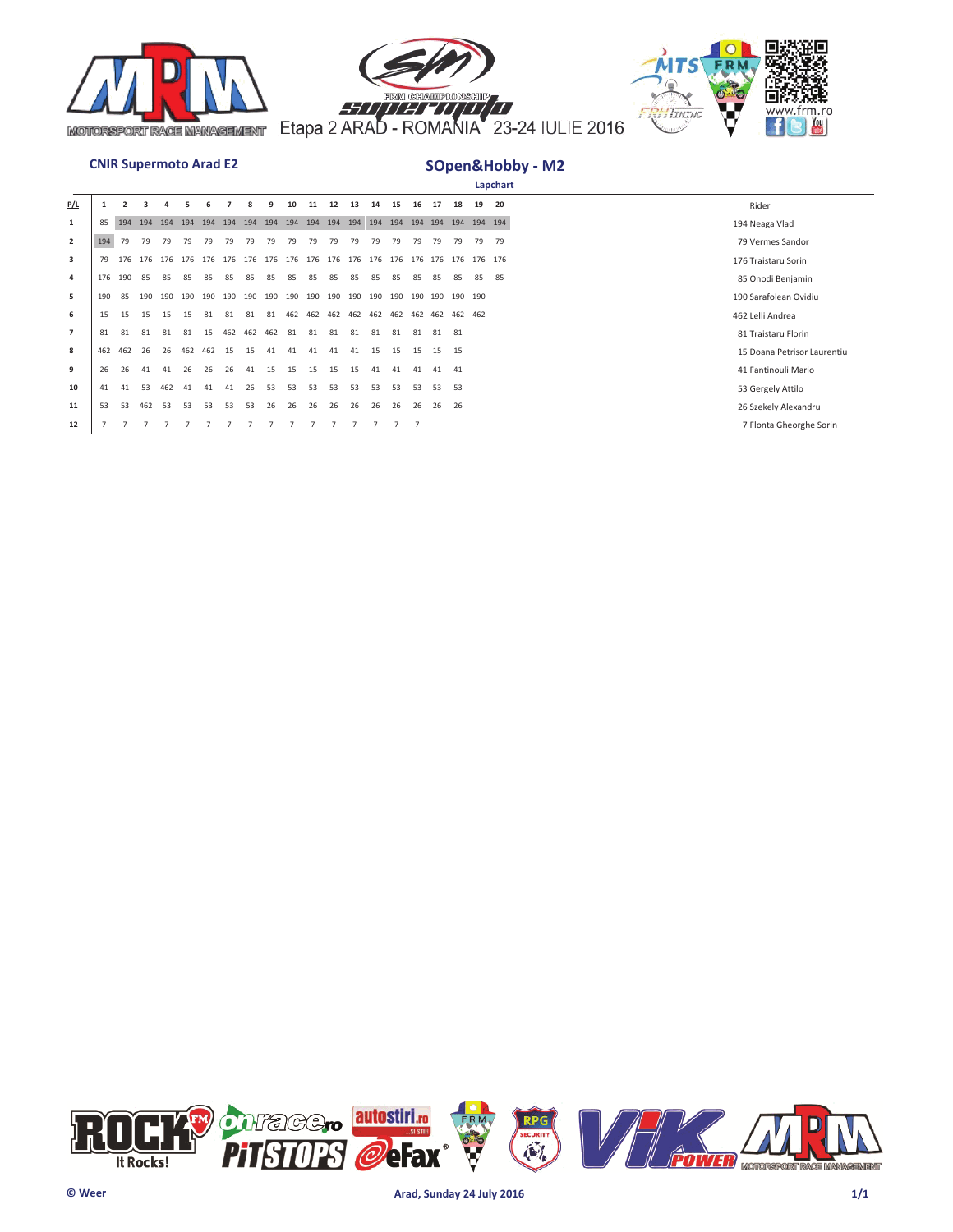





|                |     |     |     |     |     |     |                                     |     |     |     |         |     |         |     |                         |     |     |                     |    | Lapchart |                             |
|----------------|-----|-----|-----|-----|-----|-----|-------------------------------------|-----|-----|-----|---------|-----|---------|-----|-------------------------|-----|-----|---------------------|----|----------|-----------------------------|
| P/L            |     |     |     |     |     |     |                                     |     |     | 10  |         | 12  | 13      | 14  | 15                      |     | 17  | 18                  | 19 | 20       | Rider                       |
| 1              | 85  | 194 | 194 | 194 | 194 | 194 | 194                                 | 194 | 194 | 194 | 194     | 194 | 194     | 194 | 194                     |     |     | 194 194 194 194 194 |    |          | 194 Neaga Vlad              |
| $\overline{2}$ | 194 | 79  | 79  | 79  | 79  | 79  | 79                                  | 79  | 79  | 79  | 79      | 79  | 79      | 79  | 79                      | 79  | 79  | 79                  | 79 | 79       | 79 Vermes Sandor            |
| 3              | 79  |     |     |     |     |     | 176 176 176 176 176 176 176 176 176 |     |     |     | 176 176 |     | 176 176 |     | 176 176 176 176 176 176 |     |     |                     |    |          | 176 Traistaru Sorin         |
| 4              | 176 | 190 | 85  | 85  | 85  | 85  | 85                                  | 85  | 85  | 85  | 85      | 85  | 85      | 85  | 85                      | 85  | 85  | 85                  | 85 | 85       | 85 Onodi Benjamin           |
| 5              | 190 | 85  | 190 | 190 | 190 | 190 | 190                                 | 190 | 190 | 190 | 190     | 190 | 190     | 190 | 190                     | 190 | 190 | 190 190             |    |          | 190 Sarafolean Ovidiu       |
| 6              | 15  | 15  | 15  | 15  | 15  | 81  | 81                                  | 81  | 81  | 462 | 462     | 462 | 462     | 462 | 462 462 462 462 462     |     |     |                     |    |          | 462 Lelli Andrea            |
| $\overline{7}$ | 81  | 81  | 81  | 81  | 81  | 15  | 462                                 | 462 | 462 | 81  | 81      | 81  | 81      | 81  | 81                      | 81  | 81  | 81                  |    |          | 81 Traistaru Florin         |
| 8              | 462 | 462 | 26  | 26  | 462 | 462 | 15                                  | 15  | 41  | 41  | 41      | 41  | 41      | 15  | 15                      | 15  | 15  | 15                  |    |          | 15 Doana Petrisor Laurentiu |
| 9              | 26  | 26  | 41  | 41  | 26  | 26  | 26                                  | 41  | 15  | 15  | 15      | 15  | 15      | 41  | 41                      | 41  | 41  | 41                  |    |          | 41 Fantinouli Mario         |
| 10             | 41  | 41  | 53  | 462 | 41  | 41  | 41                                  | 26  | 53  | 53  | 53      | 53  | 53      | 53  | 53                      | 53  | 53  | 53                  |    |          | 53 Gergely Attilo           |
| 11             | 53  | 53  | 462 | 53  | 53  | 53  | 53                                  | 53  | 26  | 26  | 26      | 26  | 26      | 26  | 26                      | 26  | 26  | 26                  |    |          | 26 Szekely Alexandru        |
| 12             |     |     |     |     |     |     |                                     |     |     |     |         |     |         |     |                         |     |     |                     |    |          | 7 Flonta Gheorghe Sorin     |

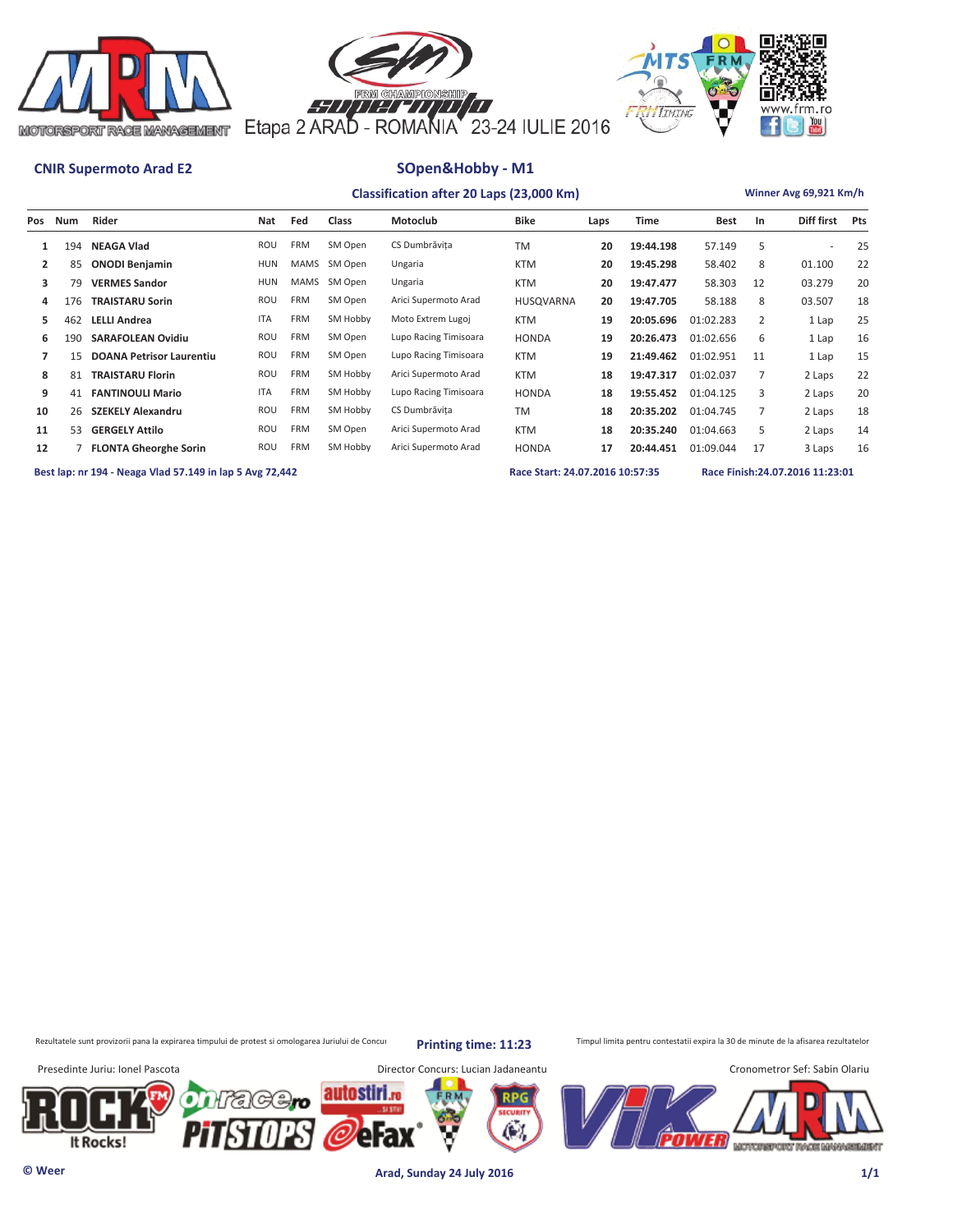





|     |     |                                 |            |                        | Winner Avg 69,921 Km/h |                       |              |      |           |             |    |                          |     |
|-----|-----|---------------------------------|------------|------------------------|------------------------|-----------------------|--------------|------|-----------|-------------|----|--------------------------|-----|
| Pos | Num | Rider                           | Nat        | Fed                    | <b>Class</b>           | Motoclub              | <b>Bike</b>  | Laps | Time      | <b>Best</b> | In | Diff first               | Pts |
|     | 194 | <b>NEAGA Vlad</b>               | ROU        | <b>FRM</b>             | SM Open                | CS Dumbrăvita         | <b>TM</b>    | 20   | 19:44.198 | 57.149      | 5  | $\overline{\phantom{a}}$ | 25  |
| 2   | 85  | <b>ONODI Benjamin</b>           | <b>HUN</b> | MAMS                   | SM Open                | Ungaria               | <b>KTM</b>   | 20   | 19:45.298 | 58.402      | 8  | 01.100                   | 22  |
| 3   | 79  | <b>VERMES Sandor</b>            | <b>HUN</b> | MAMS                   | SM Open                | Ungaria               | <b>KTM</b>   | 20   | 19:47.477 | 58.303      | 12 | 03.279                   | 20  |
| 4   | 176 | <b>TRAISTARU Sorin</b>          | ROU        | <b>FRM</b>             | SM Open                | Arici Supermoto Arad  | HUSQVARNA    | 20   | 19:47.705 | 58.188      | 8  | 03.507                   | 18  |
| 5   | 462 | <b>LELLI Andrea</b>             | <b>ITA</b> | <b>FRM</b>             | SM Hobby               | Moto Extrem Lugoj     | <b>KTM</b>   | 19   | 20:05.696 | 01:02.283   | 2  | 1 Lap                    | 25  |
| 6   | 190 | <b>SARAFOLEAN Ovidiu</b>        | ROU        | <b>FRM</b>             | SM Open                | Lupo Racing Timisoara | <b>HONDA</b> | 19   | 20:26.473 | 01:02.656   | 6  | 1 Lap                    | 16  |
|     | 15  | <b>DOANA Petrisor Laurentiu</b> | ROU        | <b>FRM</b>             | SM Open                | Lupo Racing Timisoara | <b>KTM</b>   | 19   | 21:49.462 | 01:02.951   | 11 | 1 Lap                    | 15  |
| 8   | 81  | <b>TRAISTARU Florin</b>         | ROU        | <b>FRM</b>             | SM Hobby               | Arici Supermoto Arad  | <b>KTM</b>   | 18   | 19:47.317 | 01:02.037   |    | 2 Laps                   | 22  |
| 9   | 41  | <b>FANTINOULI Mario</b>         | <b>ITA</b> | <b>FRM</b>             | SM Hobby               | Lupo Racing Timisoara | <b>HONDA</b> | 18   | 19:55.452 | 01:04.125   | 3  | 2 Laps                   | 20  |
| 10  | 26  | <b>SZEKELY Alexandru</b>        | ROU        | <b>FRM</b><br>SM Hobby |                        | CS Dumbrăvita         | <b>TM</b>    | 18   | 20:35.202 | 01:04.745   |    | 2 Laps                   | 18  |
| 11  | 53  | <b>GERGELY Attilo</b>           | ROU        | <b>FRM</b>             | SM Open                | Arici Supermoto Arad  | <b>KTM</b>   | 18   | 20:35.240 | 01:04.663   | 5  | 2 Laps                   | 14  |
| 12  |     | <b>FLONTA Gheorghe Sorin</b>    | ROU        | <b>FRM</b>             | SM Hobby               | Arici Supermoto Arad  | <b>HONDA</b> | 17   | 20:44.451 | 01:09.044   | 17 | 3 Laps                   | 16  |

**Best lap: nr 194 - Neaga Vlad 57.149 in lap 5 Avg 72,442 Race Start: 24.07.2016 10:57:35 Race Finish:24.07.2016 11:23:01** 

Rezultatele sunt provizorii pana la expirarea timpului de protest si omologarea Juriului de Concurs printin ptimpe: 11:23 Timpul limita pentru contestatii expira la 30 de minute de la afisarea rezultatelor

**Printing time: 11:23**

Presedinte Juriu: Ionel Pascota Director Concurs: Lucian Jadaneantu Cronometror Sef: Sabin Olariu autostiri (с≠€ (C) efax It Rocks! MOTOREPORT RACE MANAGEMENT

**© Weer Arad, Sunday 24 July 2016 1/1**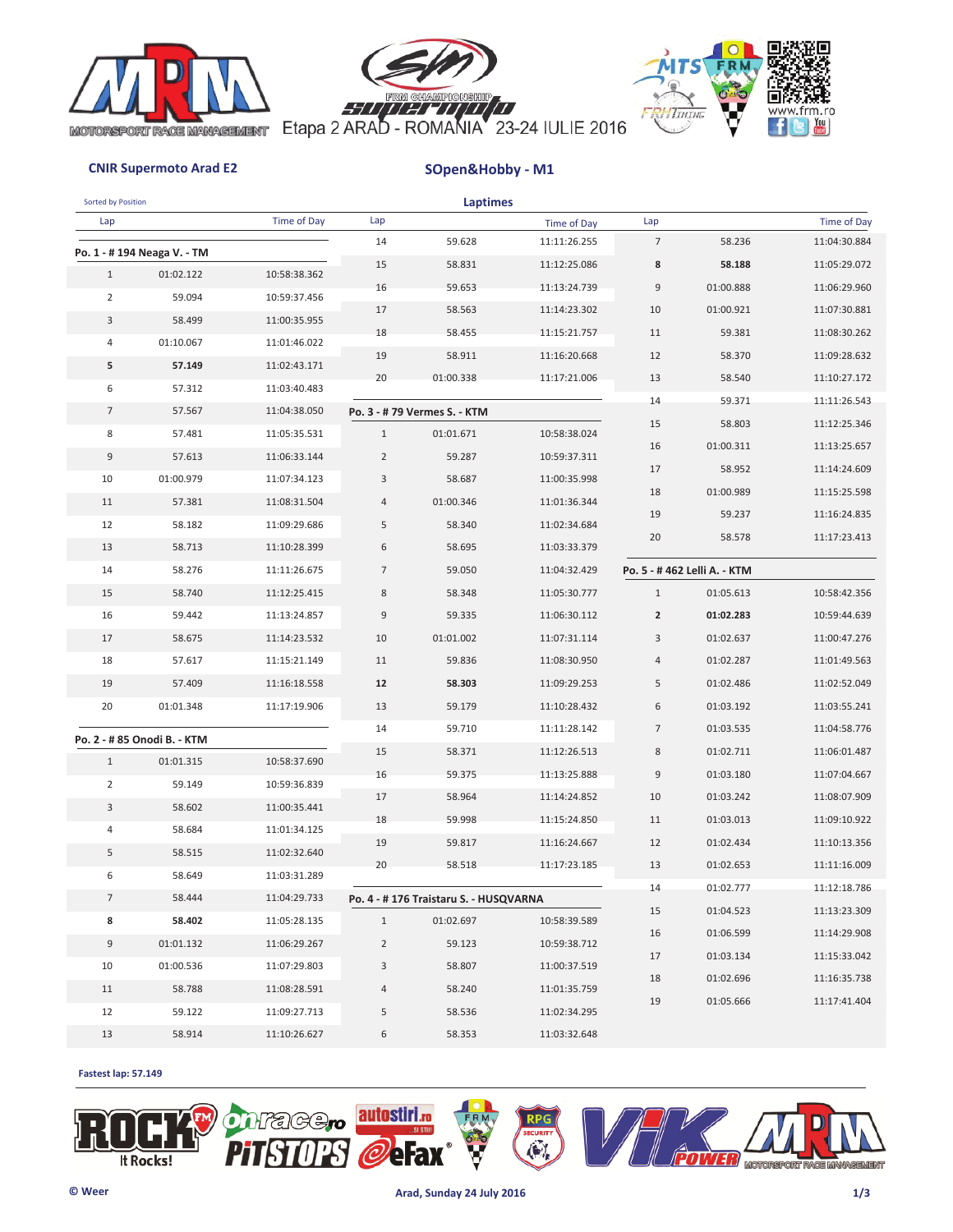





| Sorted by Position |                             |              |                | <b>Laptimes</b>                       |              |                |                             |                    |
|--------------------|-----------------------------|--------------|----------------|---------------------------------------|--------------|----------------|-----------------------------|--------------------|
| Lap                |                             | Time of Day  | Lap            |                                       | Time of Day  | Lap            |                             | <b>Time of Day</b> |
|                    | Po. 1 - # 194 Neaga V. - TM |              | 14             | 59.628                                | 11:11:26.255 | $\overline{7}$ | 58.236                      | 11:04:30.884       |
| $\mathbf{1}$       | 01:02.122                   | 10:58:38.362 | 15             | 58.831                                | 11:12:25.086 | 8              | 58.188                      | 11:05:29.072       |
| $\overline{2}$     | 59.094                      | 10:59:37.456 | 16             | 59.653                                | 11:13:24.739 | 9              | 01:00.888                   | 11:06:29.960       |
| 3                  | 58.499                      | 11:00:35.955 | 17             | 58.563                                | 11:14:23.302 | 10             | 01:00.921                   | 11:07:30.881       |
| 4                  | 01:10.067                   | 11:01:46.022 | 18             | 58.455                                | 11:15:21.757 | 11             | 59.381                      | 11:08:30.262       |
|                    |                             |              | 19             | 58.911                                | 11:16:20.668 | 12             | 58.370                      | 11:09:28.632       |
| 5                  | 57.149                      | 11:02:43.171 | 20             | 01:00.338                             | 11:17:21.006 | 13             | 58.540                      | 11:10:27.172       |
| 6                  | 57.312                      | 11:03:40.483 |                |                                       |              | 14             | 59.371                      | 11:11:26.543       |
| $7\overline{ }$    | 57.567                      | 11:04:38.050 |                | Po. 3 - # 79 Vermes S. - KTM          |              | 15             | 58.803                      | 11:12:25.346       |
| 8                  | 57.481                      | 11:05:35.531 | $\mathbf{1}$   | 01:01.671                             | 10:58:38.024 | 16             | 01:00.311                   | 11:13:25.657       |
| 9                  | 57.613                      | 11:06:33.144 | $\overline{2}$ | 59.287                                | 10:59:37.311 | 17             | 58.952                      | 11:14:24.609       |
| 10                 | 01:00.979                   | 11:07:34.123 | 3              | 58.687                                | 11:00:35.998 | 18             | 01:00.989                   | 11:15:25.598       |
| 11                 | 57.381                      | 11:08:31.504 | 4              | 01:00.346                             | 11:01:36.344 | 19             | 59.237                      | 11:16:24.835       |
| 12                 | 58.182                      | 11:09:29.686 | 5              | 58.340                                | 11:02:34.684 | 20             | 58.578                      | 11:17:23.413       |
| 13                 | 58.713                      | 11:10:28.399 | 6              | 58.695                                | 11:03:33.379 |                |                             |                    |
| 14                 | 58.276<br>11:11:26.675      |              | $\overline{7}$ | 59.050                                | 11:04:32.429 |                | Po. 5 - #462 Lelli A. - KTM |                    |
| 15                 | 58.740                      | 11:12:25.415 | 8              | 58.348                                | 11:05:30.777 | $\mathbf{1}$   | 01:05.613                   | 10:58:42.356       |
| 16                 | 59.442                      | 11:13:24.857 | 9              | 59.335                                | 11:06:30.112 | $\overline{2}$ | 01:02.283                   | 10:59:44.639       |
| 17                 | 58.675                      | 11:14:23.532 | 10             | 01:01.002                             | 11:07:31.114 | 3              | 01:02.637                   | 11:00:47.276       |
| 18                 | 57.617                      | 11:15:21.149 | 11             | 59.836                                | 11:08:30.950 | 4              | 01:02.287                   | 11:01:49.563       |
| 19                 | 57.409                      | 11:16:18.558 | 12             | 58.303                                | 11:09:29.253 | 5              | 01:02.486                   | 11:02:52.049       |
| 20                 | 01:01.348                   | 11:17:19.906 | 13             | 59.179                                | 11:10:28.432 | 6              | 01:03.192                   | 11:03:55.241       |
|                    | Po. 2 - # 85 Onodi B. - KTM |              | 14             | 59.710                                | 11:11:28.142 | 7              | 01:03.535                   | 11:04:58.776       |
| $\mathbf{1}$       | 01:01.315                   | 10:58:37.690 | 15             | 58.371                                | 11:12:26.513 | 8              | 01:02.711                   | 11:06:01.487       |
|                    |                             |              | 16             | 59.375                                | 11:13:25.888 | 9              | 01:03.180                   | 11:07:04.667       |
| $\overline{2}$     | 59.149                      | 10:59:36.839 | 17             | 58.964                                | 11:14:24.852 | 10             | 01:03.242                   | 11:08:07.909       |
| 3                  | 58.602                      | 11:00:35.441 | 18             | 59.998                                | 11:15:24.850 | 11             | 01:03.013                   | 11:09:10.922       |
| 4                  | 58.684                      | 11:01:34.125 | 19             | 59.817                                | 11:16:24.667 | 12             | 01:02.434                   | 11:10:13.356       |
| 5                  | 58.515                      | 11:02:32.640 | 20             | 58.518                                | 11:17:23.185 | 13             | 01:02.653                   | 11:11:16.009       |
|                    | 6<br>58.649<br>11:03:31.289 |              |                |                                       |              | 14             | 01:02.777                   | 11:12:18.786       |
| $\overline{7}$     | 11:04:29.733<br>58.444      |              |                | Po. 4 - #176 Traistaru S. - HUSQVARNA |              | 15             | 01:04.523                   | 11:13:23.309       |
| 8                  | 58.402<br>11:05:28.135      |              | $\mathbf{1}$   | 01:02.697                             | 10:58:39.589 | 16             | 01:06.599                   | 11:14:29.908       |
| 9                  | 01:01.132                   | 11:06:29.267 | $\overline{2}$ | 59.123                                | 10:59:38.712 | 17             | 01:03.134                   | 11:15:33.042       |
| 10                 | 01:00.536                   | 11:07:29.803 | 3              | 58.807                                | 11:00:37.519 | 18             | 01:02.696                   | 11:16:35.738       |
| 11                 | 58.788                      | 11:08:28.591 | 4              | 58.240                                | 11:01:35.759 | 19             | 01:05.666                   | 11:17:41.404       |
| 12                 | 59.122                      | 11:09:27.713 | 5              | 58.536                                | 11:02:34.295 |                |                             |                    |
| 13                 | 58.914                      | 11:10:26.627 | 6              | 58.353                                | 11:03:32.648 |                |                             |                    |

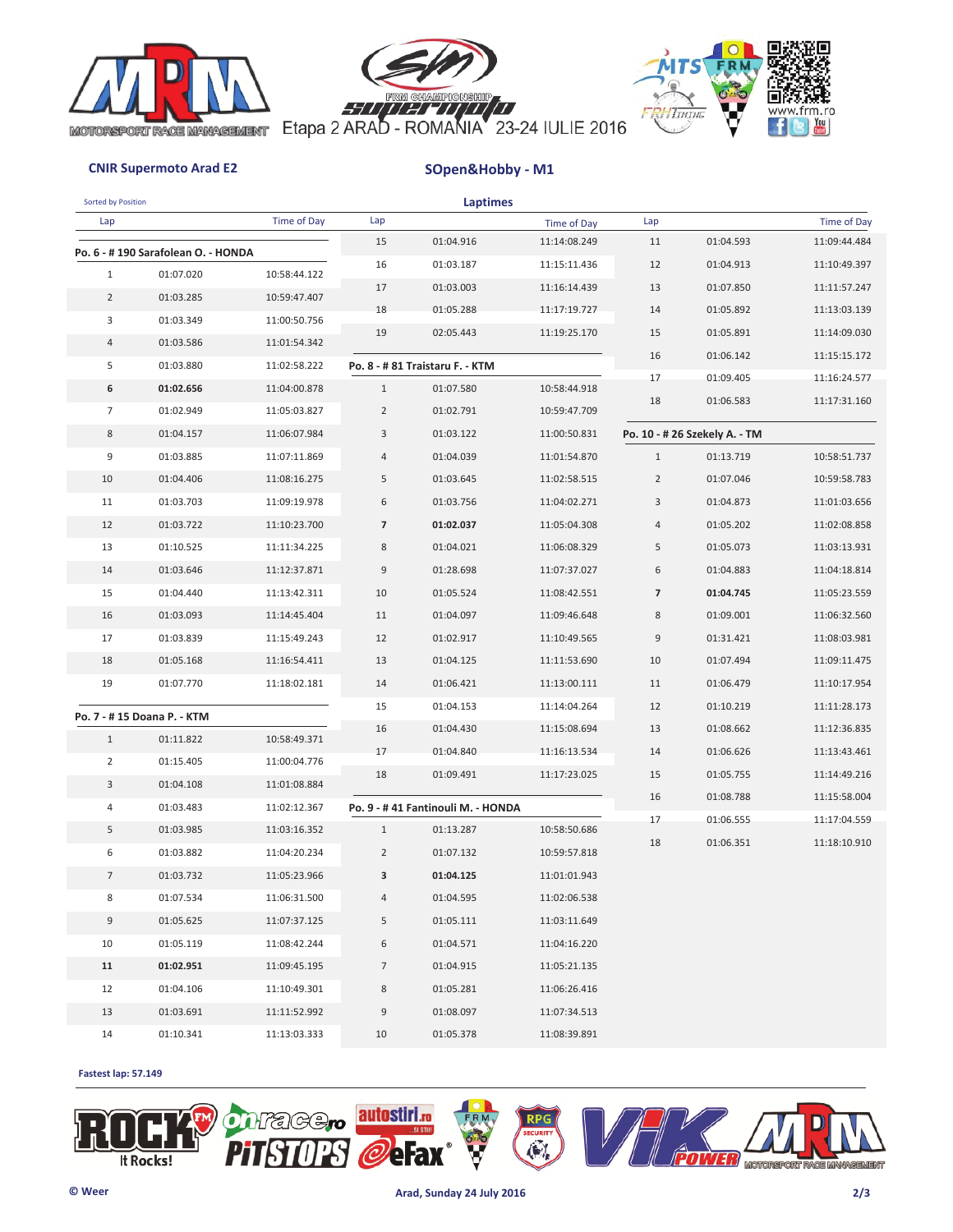





| Sorted by Position |                                    |              |                | <b>Laptimes</b>                   |              |                |                               |              |
|--------------------|------------------------------------|--------------|----------------|-----------------------------------|--------------|----------------|-------------------------------|--------------|
| Lap                |                                    | Time of Day  | Lap            |                                   | Time of Day  | Lap            |                               | Time of Day  |
|                    | Po. 6 - #190 Sarafolean O. - HONDA |              | 15             | 01:04.916                         | 11:14:08.249 | 11             | 01:04.593                     | 11:09:44.484 |
| $\mathbf{1}$       | 01:07.020                          | 10:58:44.122 | 16             | 01:03.187                         | 11:15:11.436 | 12             | 01:04.913                     | 11:10:49.397 |
| $\overline{2}$     | 01:03.285                          | 10:59:47.407 | 17             | 01:03.003                         | 11:16:14.439 | 13             | 01:07.850                     | 11:11:57.247 |
| 3                  | 01:03.349                          | 11:00:50.756 | 18             | 01:05.288                         | 11:17:19.727 | 14             | 01:05.892                     | 11:13:03.139 |
| 4                  | 01:03.586                          | 11:01:54.342 | 19             | 02:05.443                         | 11:19:25.170 | 15             | 01:05.891                     | 11:14:09.030 |
| 5                  | 01:03.880                          | 11:02:58.222 |                | Po. 8 - # 81 Traistaru F. - KTM   |              | 16             | 01:06.142                     | 11:15:15.172 |
| 6                  | 01:02.656                          | 11:04:00.878 | $\mathbf{1}$   | 01:07.580                         | 10:58:44.918 | 17             | 01:09.405                     | 11:16:24.577 |
| $\overline{7}$     | 01:02.949                          | 11:05:03.827 | $\overline{2}$ | 01:02.791                         | 10:59:47.709 | 18             | 01:06.583                     | 11:17:31.160 |
|                    |                                    | 11:06:07.984 | 3              | 01:03.122                         |              |                |                               |              |
| 8                  | 01:04.157                          |              |                |                                   | 11:00:50.831 |                | Po. 10 - # 26 Szekely A. - TM |              |
| 9                  | 01:03.885                          | 11:07:11.869 | 4              | 01:04.039                         | 11:01:54.870 | $1\,$          | 01:13.719                     | 10:58:51.737 |
| 10                 | 01:04.406                          | 11:08:16.275 | 5              | 01:03.645                         | 11:02:58.515 | $\overline{2}$ | 01:07.046                     | 10:59:58.783 |
| 11                 | 01:03.703                          | 11:09:19.978 | 6              | 01:03.756                         | 11:04:02.271 | 3              | 01:04.873                     | 11:01:03.656 |
| 12                 | 01:03.722                          | 11:10:23.700 | $\overline{7}$ | 01:02.037                         | 11:05:04.308 | 4              | 01:05.202                     | 11:02:08.858 |
| 13                 | 01:10.525                          | 11:11:34.225 | 8              | 01:04.021                         | 11:06:08.329 | 5              | 01:05.073                     | 11:03:13.931 |
| 14                 | 01:03.646                          | 11:12:37.871 | 9              | 01:28.698                         | 11:07:37.027 | 6              | 01:04.883                     | 11:04:18.814 |
| 15                 | 01:04.440                          | 11:13:42.311 | 10             | 01:05.524                         | 11:08:42.551 | $\overline{7}$ | 01:04.745                     | 11:05:23.559 |
| 16                 | 01:03.093                          | 11:14:45.404 | 11             | 01:04.097                         | 11:09:46.648 | 8              | 01:09.001                     | 11:06:32.560 |
| 17                 | 01:03.839                          | 11:15:49.243 | 12             | 01:02.917                         | 11:10:49.565 | 9              | 01:31.421                     | 11:08:03.981 |
| 18                 | 01:05.168                          | 11:16:54.411 | 13             | 01:04.125                         | 11:11:53.690 | 10             | 01:07.494                     | 11:09:11.475 |
| 19                 | 01:07.770                          | 11:18:02.181 | 14             | 01:06.421                         | 11:13:00.111 | 11             | 01:06.479                     | 11:10:17.954 |
|                    | Po. 7 - #15 Doana P. - KTM         |              | 15             | 01:04.153                         | 11:14:04.264 | 12             | 01:10.219                     | 11:11:28.173 |
| $\mathbf{1}$       | 01:11.822                          | 10:58:49.371 | 16             | 01:04.430                         | 11:15:08.694 | 13             | 01:08.662                     | 11:12:36.835 |
| $\overline{2}$     | 01:15.405                          | 11:00:04.776 | 17             | 01:04.840                         | 11:16:13.534 | 14             | 01:06.626                     | 11:13:43.461 |
| 3                  | 01:04.108                          | 11:01:08.884 | 18             | 01:09.491                         | 11:17:23.025 | 15             | 01:05.755                     | 11:14:49.216 |
| 4                  | 01:03.483                          | 11:02:12.367 |                | Po. 9 - #41 Fantinouli M. - HONDA |              | 16             | 01:08.788                     | 11:15:58.004 |
| 5                  | 01:03.985                          | 11:03:16.352 | $\mathbf{1}$   | 01:13.287                         | 10:58:50.686 | 17             | 01:06.555                     | 11:17:04.559 |
| 6                  | 01:03.882                          | 11:04:20.234 | $\overline{2}$ | 01:07.132                         | 10:59:57.818 | 18             | 01:06.351                     | 11:18:10.910 |
| 7                  | 01:03.732                          | 11:05:23.966 | 3              | 01:04.125                         | 11:01:01.943 |                |                               |              |
| 8                  | 01:07.534                          | 11:06:31.500 | 4              | 01:04.595                         | 11:02:06.538 |                |                               |              |
| 9                  | 01:05.625                          | 11:07:37.125 | 5              | 01:05.111                         | 11:03:11.649 |                |                               |              |
| 10                 | 01:05.119                          | 11:08:42.244 | 6              | 01:04.571                         | 11:04:16.220 |                |                               |              |
| 11                 | 01:02.951                          | 11:09:45.195 | 7              | 01:04.915                         | 11:05:21.135 |                |                               |              |
| 12                 | 01:04.106                          | 11:10:49.301 | 8              | 01:05.281                         | 11:06:26.416 |                |                               |              |
| 13                 | 01:03.691                          | 11:11:52.992 | 9              | 01:08.097                         | 11:07:34.513 |                |                               |              |
| 14                 | 01:10.341                          | 11:13:03.333 | 10             | 01:05.378                         | 11:08:39.891 |                |                               |              |

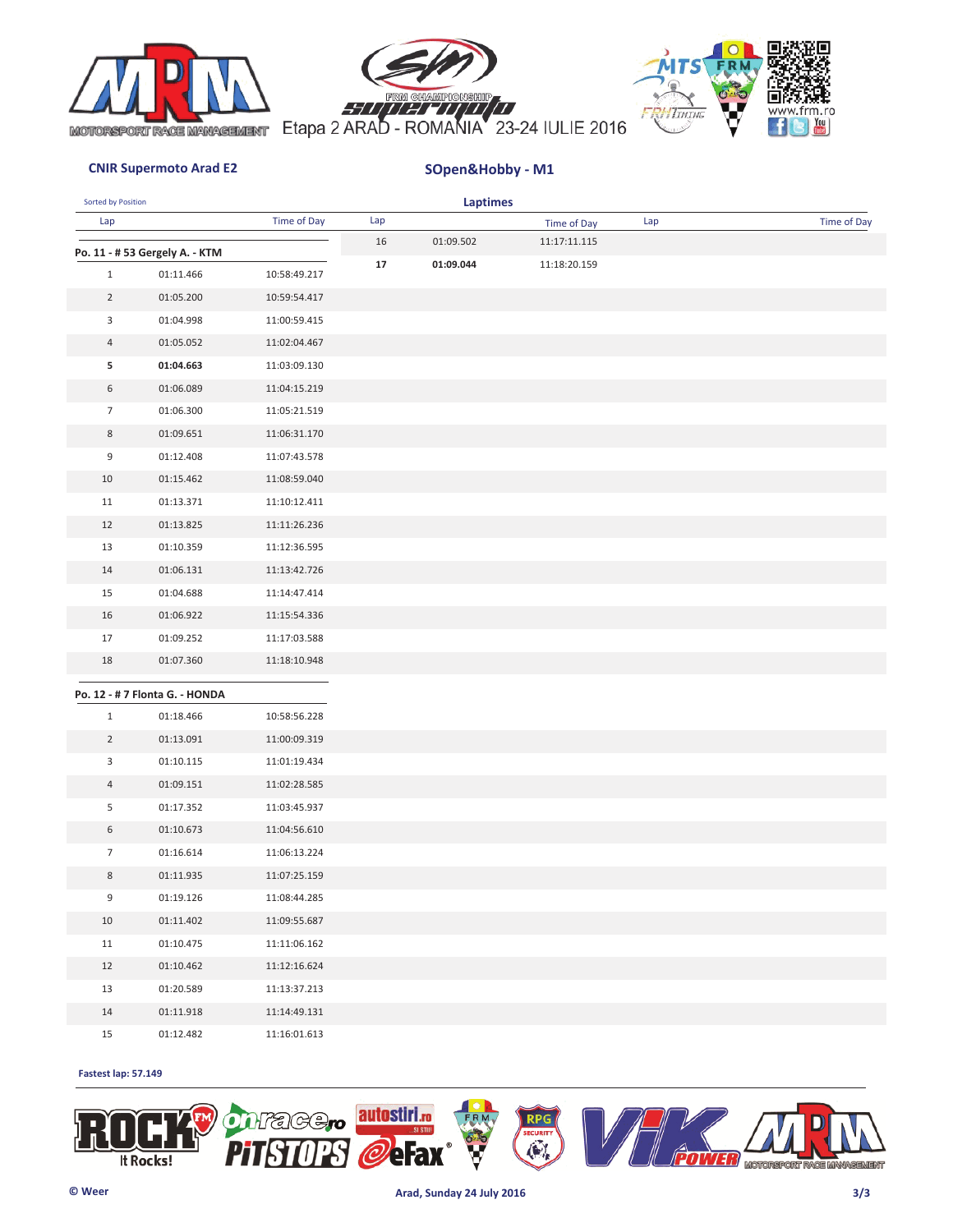





| Sorted by Position |                                             |              |     | <b>Laptimes</b> |              |     |             |
|--------------------|---------------------------------------------|--------------|-----|-----------------|--------------|-----|-------------|
| Lap                |                                             | Time of Day  | Lap |                 | Time of Day  | Lap | Time of Day |
|                    | Po. 11 - # 53 Gergely A. - KTM              |              | 16  | 01:09.502       | 11:17:11.115 |     |             |
| $\mathbf{1}$       | 01:11.466                                   | 10:58:49.217 | 17  | 01:09.044       | 11:18:20.159 |     |             |
| $\overline{2}$     | 01:05.200                                   | 10:59:54.417 |     |                 |              |     |             |
| 3                  | 01:04.998                                   | 11:00:59.415 |     |                 |              |     |             |
| $\overline{4}$     | 01:05.052                                   | 11:02:04.467 |     |                 |              |     |             |
| 5                  | 01:04.663                                   | 11:03:09.130 |     |                 |              |     |             |
| 6                  | 01:06.089                                   | 11:04:15.219 |     |                 |              |     |             |
| $\overline{7}$     | 01:06.300                                   | 11:05:21.519 |     |                 |              |     |             |
| 8                  | 01:09.651                                   | 11:06:31.170 |     |                 |              |     |             |
| 9                  | 01:12.408                                   | 11:07:43.578 |     |                 |              |     |             |
| $10\,$             | 01:15.462                                   | 11:08:59.040 |     |                 |              |     |             |
| 11                 | 01:13.371                                   | 11:10:12.411 |     |                 |              |     |             |
| 12                 | 01:13.825                                   | 11:11:26.236 |     |                 |              |     |             |
| 13                 | 01:10.359                                   | 11:12:36.595 |     |                 |              |     |             |
| 14                 | 01:06.131                                   | 11:13:42.726 |     |                 |              |     |             |
| 15                 | 01:04.688                                   | 11:14:47.414 |     |                 |              |     |             |
| 16                 | 01:06.922                                   | 11:15:54.336 |     |                 |              |     |             |
| 17                 | 01:09.252                                   | 11:17:03.588 |     |                 |              |     |             |
| 18                 | 01:07.360                                   | 11:18:10.948 |     |                 |              |     |             |
|                    |                                             |              |     |                 |              |     |             |
| $\mathbf{1}$       | Po. 12 - # 7 Flonta G. - HONDA<br>01:18.466 | 10:58:56.228 |     |                 |              |     |             |
| $\overline{2}$     | 01:13.091                                   | 11:00:09.319 |     |                 |              |     |             |
| 3                  | 01:10.115                                   | 11:01:19.434 |     |                 |              |     |             |
| 4                  | 01:09.151                                   | 11:02:28.585 |     |                 |              |     |             |
| 5                  | 01:17.352                                   | 11:03:45.937 |     |                 |              |     |             |
| 6                  | 01:10.673                                   | 11:04:56.610 |     |                 |              |     |             |
| $\overline{7}$     | 01:16.614                                   | 11:06:13.224 |     |                 |              |     |             |
| 8                  | 01:11.935                                   | 11:07:25.159 |     |                 |              |     |             |
| 9                  | 01:19.126                                   | 11:08:44.285 |     |                 |              |     |             |
| $10\,$             | 01:11.402                                   | 11:09:55.687 |     |                 |              |     |             |
| 11                 | 01:10.475                                   | 11:11:06.162 |     |                 |              |     |             |
| 12                 | 01:10.462                                   | 11:12:16.624 |     |                 |              |     |             |
| 13                 | 01:20.589                                   | 11:13:37.213 |     |                 |              |     |             |
| $14\,$             | 01:11.918                                   | 11:14:49.131 |     |                 |              |     |             |
| $15\,$             | 01:12.482                                   | 11:16:01.613 |     |                 |              |     |             |

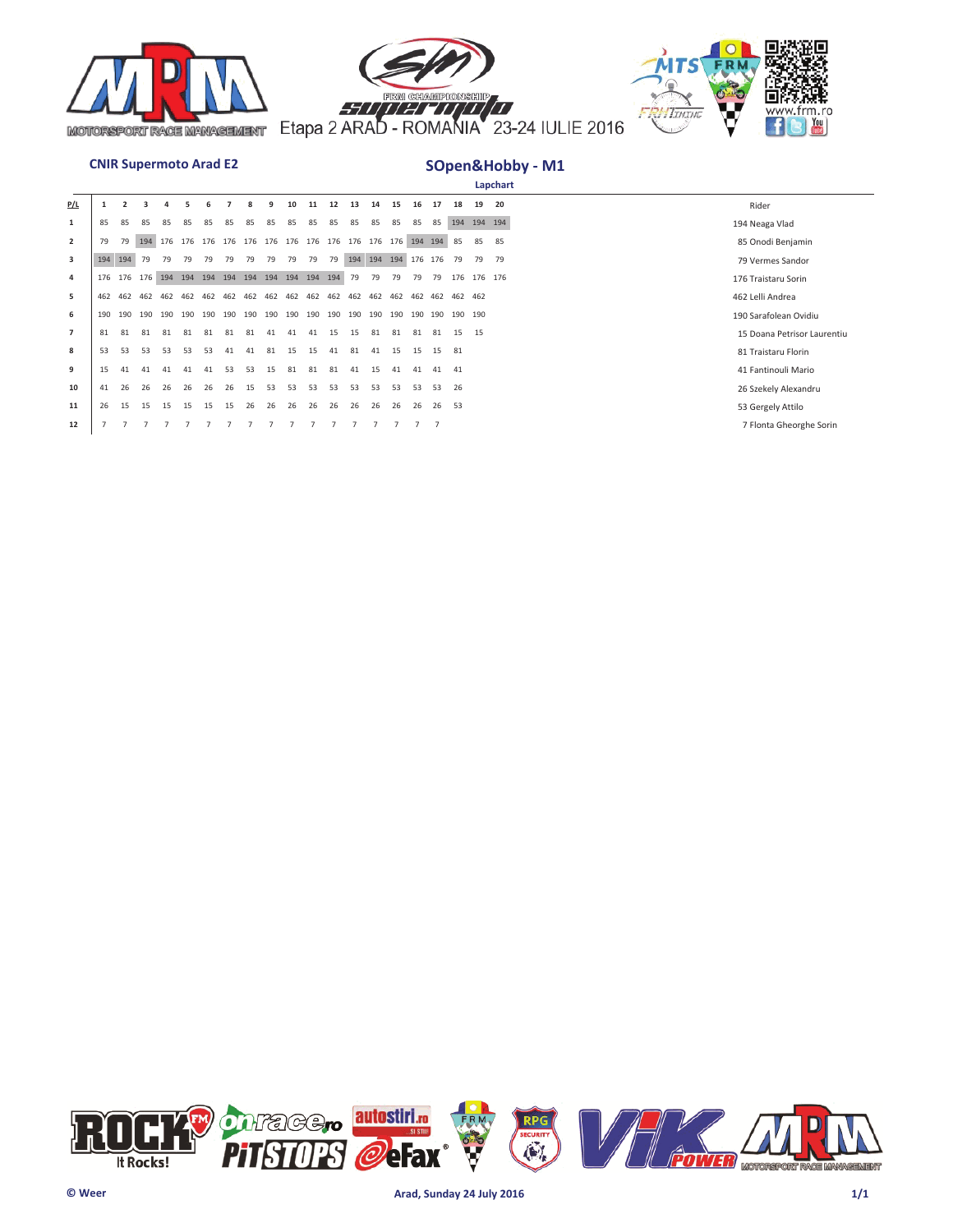





|                |     |     |     |     |     |     |     |     |     |         |     |     |     |                     |     |     |                |             |             | Lapchart |                             |
|----------------|-----|-----|-----|-----|-----|-----|-----|-----|-----|---------|-----|-----|-----|---------------------|-----|-----|----------------|-------------|-------------|----------|-----------------------------|
| <u>P/L</u>     |     |     |     |     |     |     |     |     |     | 10      | 11  | 12  | 13  | 14                  | 15  | 16  |                | 18          | 19          | 20       | Rider                       |
| 1              | 85  | 85  | 85  |     | 85  |     | 85  |     | 85  | 85      | 85  | 85  | 85  | 85                  | 85  | 85  | 85             |             | 194 194 194 |          | 194 Neaga Vlad              |
| $\overline{2}$ | 79  | 79  | 194 |     |     |     |     |     |     |         |     |     |     |                     |     |     |                | 85          | 85          | 85       | 85 Onodi Benjamin           |
| 3              | 194 | 194 | 79  | 79  | 79  | 79  | 79  | 79  | 79  | 79      | 79  | 79  |     | 194 194 194 176 176 |     |     |                | 79          | 79          | 79       | 79 Vermes Sandor            |
| 4              | 176 | 176 | 176 | 194 | 194 | 194 | 194 | 194 | 194 | 194 194 |     | 194 | 79  | 79                  | 79  | 79  | 79             | 176         | 176 176     |          | 176 Traistaru Sorin         |
| 5              | 462 | 462 | 462 | 462 | 462 | 462 | 462 | 462 | 462 | 462     | 462 | 462 | 462 | 462                 | 462 | 462 | 462            | 462 462     |             |          | 462 Lelli Andrea            |
| 6              | 190 | 190 | 190 | 190 | 190 | 190 | 190 | 190 | 190 | 190     | 190 | 190 | 190 | 190                 | 190 | 190 |                | 190 190 190 |             |          | 190 Sarafolean Ovidiu       |
| $\overline{7}$ | 81  | 81  | 81  | 81  | 81  | 81  | 81  | 81  | 41  | 41      | 41  | 15  | 15  | 81                  | 81  | 81  | 81             | 15          | 15          |          | 15 Doana Petrisor Laurentiu |
| 8              | 53  | 53  | 53  | 53  | 53  | 53  | 41  | 41  | 81  | 15      | 15  | 41  | 81  | 41                  | 15  | 15  | 15             | 81          |             |          | 81 Traistaru Florin         |
| 9              | 15  | 41  | 41  | 41  | 41  | 41  | 53  | 53  | 15  | 81      | 81  | 81  | 41  | 15                  | 41  | 41  | 41             | 41          |             |          | 41 Fantinouli Mario         |
| 10             | 41  | 26  | 26  | 26  | 26  | 26  | 26  | 15  | 53  | 53      | -53 | 53  | 53  | 53                  | 53  | 53  | 53             | 26          |             |          | 26 Szekely Alexandru        |
| 11             | 26  | 15  | 15  | 15  | 15  | 15  | 15  | 26  | 26  | 26      | 26  | 26  | 26  | 26                  | 26  | 26  | 26             | 53          |             |          | 53 Gergely Attilo           |
| 12             |     |     |     |     |     |     |     |     |     |         |     |     |     |                     |     |     | $\overline{7}$ |             |             |          | 7 Flonta Gheorghe Sorin     |

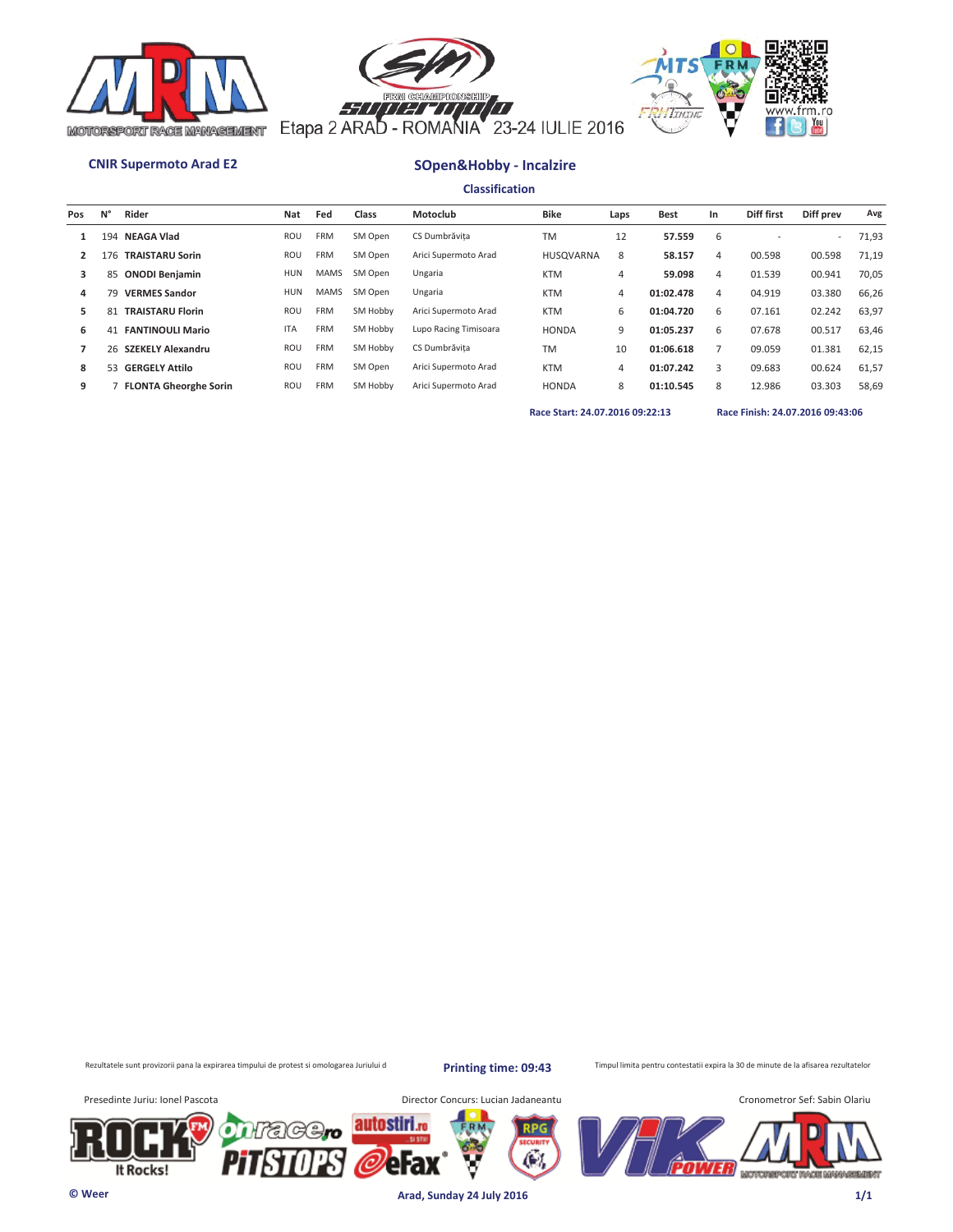





# **CNIR Supermoto Arad E2 SOpen&Hobby - Incalzire**

**Classification**

| Pos | N° | Rider                        | Nat        | Fed         | Class    | Motoclub              | <b>Bike</b>      | Laps | <b>Best</b> | In | Diff first | Diff prev | Avg   |
|-----|----|------------------------------|------------|-------------|----------|-----------------------|------------------|------|-------------|----|------------|-----------|-------|
|     |    | 194 NEAGA Vlad               | ROU        | <b>FRM</b>  | SM Open  | CS Dumbrăvita         | <b>TM</b>        | 12   | 57.559      | 6  |            | ۰         | 71,93 |
|     |    | 176 TRAISTARU Sorin          | ROU        | FRM         | SM Open  | Arici Supermoto Arad  | <b>HUSQVARNA</b> | 8    | 58.157      | 4  | 00.598     | 00.598    | 71,19 |
| 3   |    | 85 ONODI Benjamin            | <b>HUN</b> | <b>MAMS</b> | SM Open  | Ungaria               | <b>KTM</b>       | 4    | 59.098      | 4  | 01.539     | 00.941    | 70,05 |
| 4   | 79 | <b>VERMES Sandor</b>         | <b>HUN</b> | <b>MAMS</b> | SM Open  | Ungaria               | <b>KTM</b>       | 4    | 01:02.478   | 4  | 04.919     | 03.380    | 66,26 |
| 5.  | 81 | <b>TRAISTARU Florin</b>      | ROU        | <b>FRM</b>  | SM Hobby | Arici Supermoto Arad  | <b>KTM</b>       | 6    | 01:04.720   | 6  | 07.161     | 02.242    | 63,97 |
| 6   | 41 | <b>FANTINOULI Mario</b>      | <b>ITA</b> | <b>FRM</b>  | SM Hobby | Lupo Racing Timisoara | <b>HONDA</b>     | 9    | 01:05.237   | 6  | 07.678     | 00.517    | 63,46 |
|     |    | 26 SZEKELY Alexandru         | <b>ROU</b> | <b>FRM</b>  | SM Hobby | CS Dumbrăvita         | <b>TM</b>        | 10   | 01:06.618   |    | 09.059     | 01.381    | 62,15 |
| 8   |    | 53 GERGELY Attilo            | ROU        | <b>FRM</b>  | SM Open  | Arici Supermoto Arad  | <b>KTM</b>       | 4    | 01:07.242   | 3  | 09.683     | 00.624    | 61,57 |
| 9   |    | <b>FLONTA Gheorghe Sorin</b> | ROU        | <b>FRM</b>  | SM Hobby | Arici Supermoto Arad  | <b>HONDA</b>     | 8    | 01:10.545   | 8  | 12.986     | 03.303    | 58,69 |
|     |    |                              |            |             |          |                       |                  |      |             |    |            |           |       |

**Race Start: 24.07.2016 09:22:13 Race Finish: 24.07.2016 09:43:06** 

Rezultatele sunt provizorii pana la expirarea timpului de protest si omologarea Juriului d

**Printing time: 09:43**

Æ.

Timpul limita pentru contestatii expira la 30 de minute de la afisarea rezultatelor

It Rocks!

Presedinte Juriu: Ionel Pascota **Director Concurs: Lucian Jadaneantu** 



**© Weer Arad, Sunday 24 July 2016 1/1**

autostiri.ro

erax

'C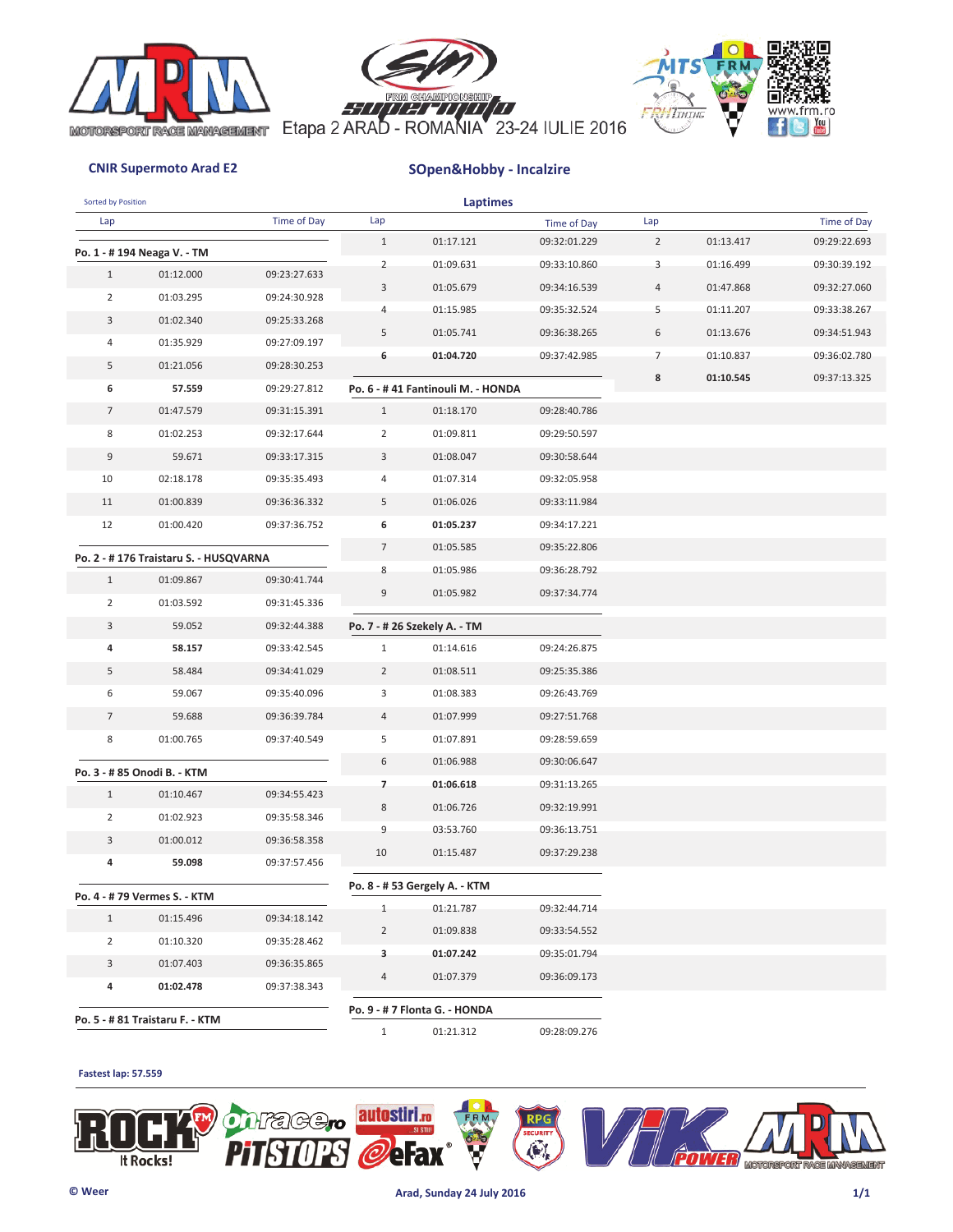





# **CNIR Supermoto Arad E2 SOpen&Hobby - Incalzire**

| Sorted by Position |                                       |              |                | Laptimes                          |              |                |           |              |
|--------------------|---------------------------------------|--------------|----------------|-----------------------------------|--------------|----------------|-----------|--------------|
| Lap                |                                       | Time of Day  | Lap            |                                   | Time of Day  | Lap            |           | Time of Day  |
|                    | Po. 1 - # 194 Neaga V. - TM           |              | $\mathbf{1}$   | 01:17.121                         | 09:32:01.229 | $\overline{2}$ | 01:13.417 | 09:29:22.693 |
| $\mathbf{1}$       | 01:12.000                             | 09:23:27.633 | $\overline{2}$ | 01:09.631                         | 09:33:10.860 | 3              | 01:16.499 | 09:30:39.192 |
| $\overline{2}$     | 01:03.295                             | 09:24:30.928 | 3              | 01:05.679                         | 09:34:16.539 | 4              | 01:47.868 | 09:32:27.060 |
| 3                  | 01:02.340                             | 09:25:33.268 | 4              | 01:15.985                         | 09:35:32.524 | 5              | 01:11.207 | 09:33:38.267 |
| 4                  | 01:35.929                             | 09:27:09.197 | 5              | 01:05.741                         | 09:36:38.265 | 6              | 01:13.676 | 09:34:51.943 |
| 5                  | 01:21.056                             | 09:28:30.253 | 6              | 01:04.720                         | 09:37:42.985 | 7              | 01:10.837 | 09:36:02.780 |
| 6                  | 57.559                                | 09:29:27.812 |                | Po. 6 - #41 Fantinouli M. - HONDA |              | 8              | 01:10.545 | 09:37:13.325 |
| $\overline{7}$     | 01:47.579                             | 09:31:15.391 | $\mathbf{1}$   | 01:18.170                         | 09:28:40.786 |                |           |              |
| 8                  | 01:02.253                             | 09:32:17.644 | $\overline{2}$ | 01:09.811                         | 09:29:50.597 |                |           |              |
| 9                  | 59.671                                | 09:33:17.315 | 3              | 01:08.047                         | 09:30:58.644 |                |           |              |
| 10                 | 02:18.178                             | 09:35:35.493 | 4              | 01:07.314                         | 09:32:05.958 |                |           |              |
| 11                 | 01:00.839                             | 09:36:36.332 | 5              | 01:06.026                         | 09:33:11.984 |                |           |              |
| 12                 | 01:00.420                             | 09:37:36.752 | 6              | 01:05.237                         | 09:34:17.221 |                |           |              |
|                    |                                       |              | $\overline{7}$ | 01:05.585                         | 09:35:22.806 |                |           |              |
|                    | Po. 2 - #176 Traistaru S. - HUSQVARNA |              | 8              | 01:05.986                         | 09:36:28.792 |                |           |              |
| $\mathbf{1}$       | 01:09.867                             | 09:30:41.744 | 9              | 01:05.982                         | 09:37:34.774 |                |           |              |
| $\overline{2}$     | 01:03.592                             | 09:31:45.336 |                |                                   |              |                |           |              |
| 3                  | 59.052                                | 09:32:44.388 |                | Po. 7 - # 26 Szekely A. - TM      |              |                |           |              |
| 4                  | 58.157                                | 09:33:42.545 | $\mathbf{1}$   | 01:14.616                         | 09:24:26.875 |                |           |              |
| 5                  | 58.484                                | 09:34:41.029 | $\overline{2}$ | 01:08.511                         | 09:25:35.386 |                |           |              |
| 6                  | 59.067                                | 09:35:40.096 | 3              | 01:08.383                         | 09:26:43.769 |                |           |              |
| $\overline{7}$     | 59.688                                | 09:36:39.784 | $\overline{4}$ | 01:07.999                         | 09:27:51.768 |                |           |              |
| 8                  | 01:00.765                             | 09:37:40.549 | 5              | 01:07.891                         | 09:28:59.659 |                |           |              |
|                    | Po. 3 - # 85 Onodi B. - KTM           |              | 6              | 01:06.988                         | 09:30:06.647 |                |           |              |
| $\mathbf{1}$       | 01:10.467                             | 09:34:55.423 | $\overline{7}$ | 01:06.618                         | 09:31:13.265 |                |           |              |
| $\overline{2}$     | 01:02.923                             | 09:35:58.346 | 8              | 01:06.726                         | 09:32:19.991 |                |           |              |
| 3                  | 01:00.012                             | 09:36:58.358 | 9              | 03:53.760                         | 09:36:13.751 |                |           |              |
| 4                  | 59.098                                | 09:37:57.456 | 10             | 01:15.487                         | 09:37:29.238 |                |           |              |
|                    |                                       |              |                | Po. 8 - # 53 Gergely A. - KTM     |              |                |           |              |
|                    | Po. 4 - # 79 Vermes S. - KTM          |              | $\mathbf{1}$   | 01:21.787                         | 09:32:44.714 |                |           |              |
| $\mathbf{1}$       | 01:15.496                             | 09:34:18.142 | $\overline{2}$ | 01:09.838                         | 09:33:54.552 |                |           |              |
| $\overline{2}$     | 01:10.320                             | 09:35:28.462 | 3              | 01:07.242                         | 09:35:01.794 |                |           |              |
| $\overline{3}$     | 01:07.403                             | 09:36:35.865 | 4              | 01:07.379                         | 09:36:09.173 |                |           |              |
| 4                  | 01:02.478                             | 09:37:38.343 |                |                                   |              |                |           |              |
|                    | Po. 5 - # 81 Traistaru F. - KTM       |              |                | Po. 9 - # 7 Flonta G. - HONDA     |              |                |           |              |
|                    |                                       |              | $\mathbf{1}$   | 01:21.312                         | 09:28:09.276 |                |           |              |

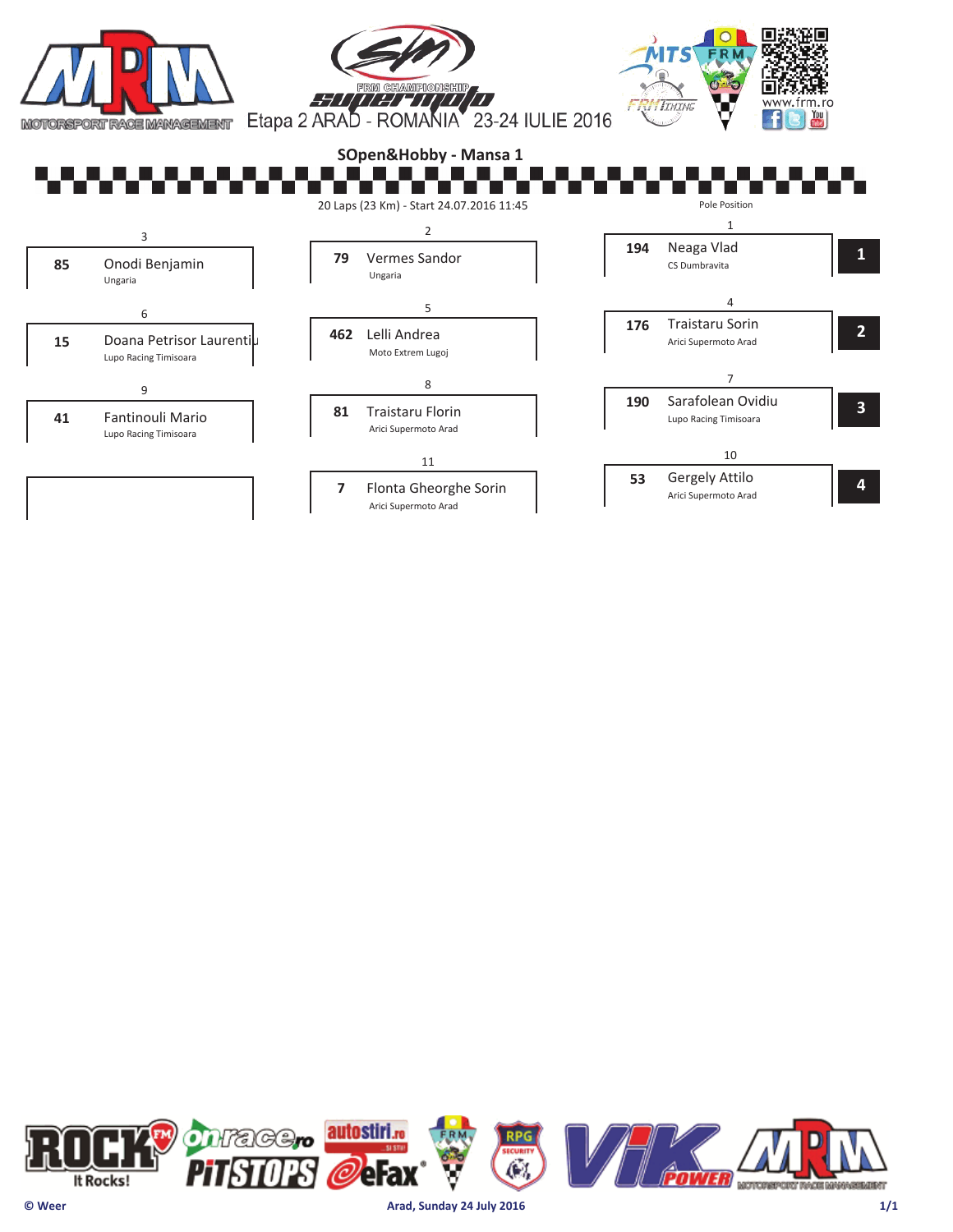

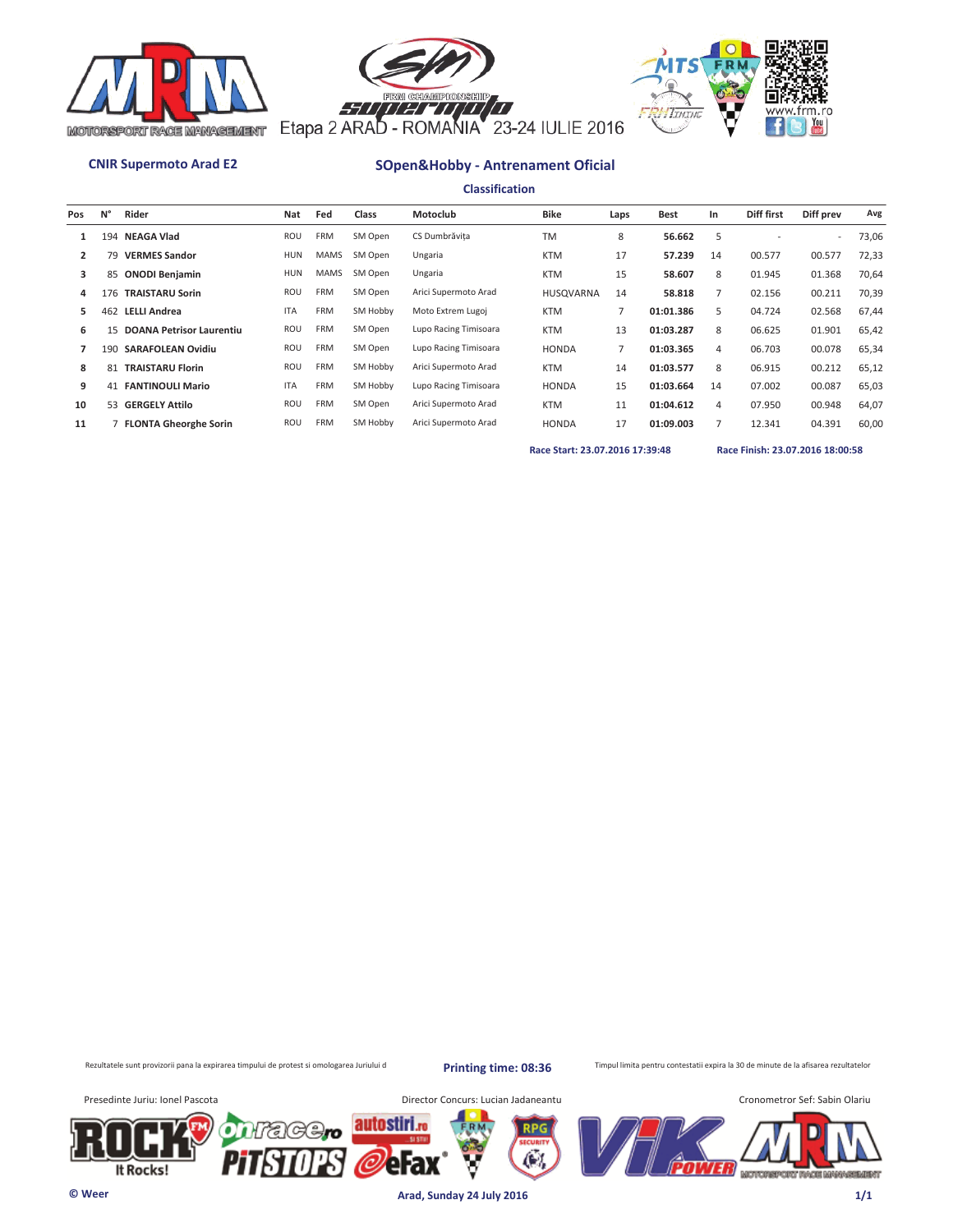





**Classification**

| Pos            | N°  | Rider                           | Nat        | Fed         | Class    | Motoclub              | <b>Bike</b>      | Laps | <b>Best</b> | In | Diff first | Diff prev                | Avg   |
|----------------|-----|---------------------------------|------------|-------------|----------|-----------------------|------------------|------|-------------|----|------------|--------------------------|-------|
|                |     | 194 NEAGA Vlad                  | <b>ROU</b> | <b>FRM</b>  | SM Open  | CS Dumbrăvita         | <b>TM</b>        | 8    | 56.662      | 5  |            | $\overline{\phantom{a}}$ | 73,06 |
| $\overline{2}$ | 79  | <b>VERMES Sandor</b>            | HUN        | <b>MAMS</b> | SM Open  | Ungaria               | <b>KTM</b>       | 17   | 57.239      | 14 | 00.577     | 00.577                   | 72,33 |
| 3              |     | 85 ONODI Benjamin               | HUN        | <b>MAMS</b> | SM Open  | Ungaria               | <b>KTM</b>       | 15   | 58.607      | 8  | 01.945     | 01.368                   | 70,64 |
| 4              | 176 | <b>TRAISTARU Sorin</b>          | ROU        | FRM         | SM Open  | Arici Supermoto Arad  | <b>HUSOVARNA</b> | 14   | 58.818      |    | 02.156     | 00.211                   | 70,39 |
| 5.             | 462 | <b>LELLI Andrea</b>             | <b>ITA</b> | <b>FRM</b>  | SM Hobby | Moto Extrem Lugoj     | <b>KTM</b>       |      | 01:01.386   | 5  | 04.724     | 02.568                   | 67,44 |
| 6              | 15  | <b>DOANA Petrisor Laurentiu</b> | ROU        | <b>FRM</b>  | SM Open  | Lupo Racing Timisoara | <b>KTM</b>       | 13   | 01:03.287   | 8  | 06.625     | 01.901                   | 65,42 |
|                | 190 | <b>SARAFOLEAN Ovidiu</b>        | ROU        | <b>FRM</b>  | SM Open  | Lupo Racing Timisoara | <b>HONDA</b>     | 7    | 01:03.365   | 4  | 06.703     | 00.078                   | 65,34 |
| 8              | 81  | <b>TRAISTARU Florin</b>         | ROU        | <b>FRM</b>  | SM Hobby | Arici Supermoto Arad  | <b>KTM</b>       | 14   | 01:03.577   | 8  | 06.915     | 00.212                   | 65,12 |
| 9              |     | <b>41 FANTINOULI Mario</b>      | <b>ITA</b> | <b>FRM</b>  | SM Hobby | Lupo Racing Timisoara | <b>HONDA</b>     | 15   | 01:03.664   | 14 | 07.002     | 00.087                   | 65,03 |
| 10             |     | 53 GERGELY Attilo               | <b>ROU</b> | <b>FRM</b>  | SM Open  | Arici Supermoto Arad  | <b>KTM</b>       | 11   | 01:04.612   | 4  | 07.950     | 00.948                   | 64,07 |
| 11             |     | 7 FLONTA Gheorghe Sorin         | ROU        | <b>FRM</b>  | SM Hobby | Arici Supermoto Arad  | <b>HONDA</b>     | 17   | 01:09.003   |    | 12.341     | 04.391                   | 60,00 |

**Race Start: 23.07.2016 17:39:48 Race Finish: 23.07.2016 18:00:58** 

Rezultatele sunt provizorii pana la expirarea timpului de protest si omologarea Juriului d

**Printing time: 08:36**

Æ.

Timpul limita pentru contestatii expira la 30 de minute de la afisarea rezultatelor

It Rocks!

Presedinte Juriu: Ionel Pascota **Director Concurs: Lucian Jadaneantu** 



**© Weer Arad, Sunday 24 July 2016 1/1**

autostiri.<sub>ro</sub>

erax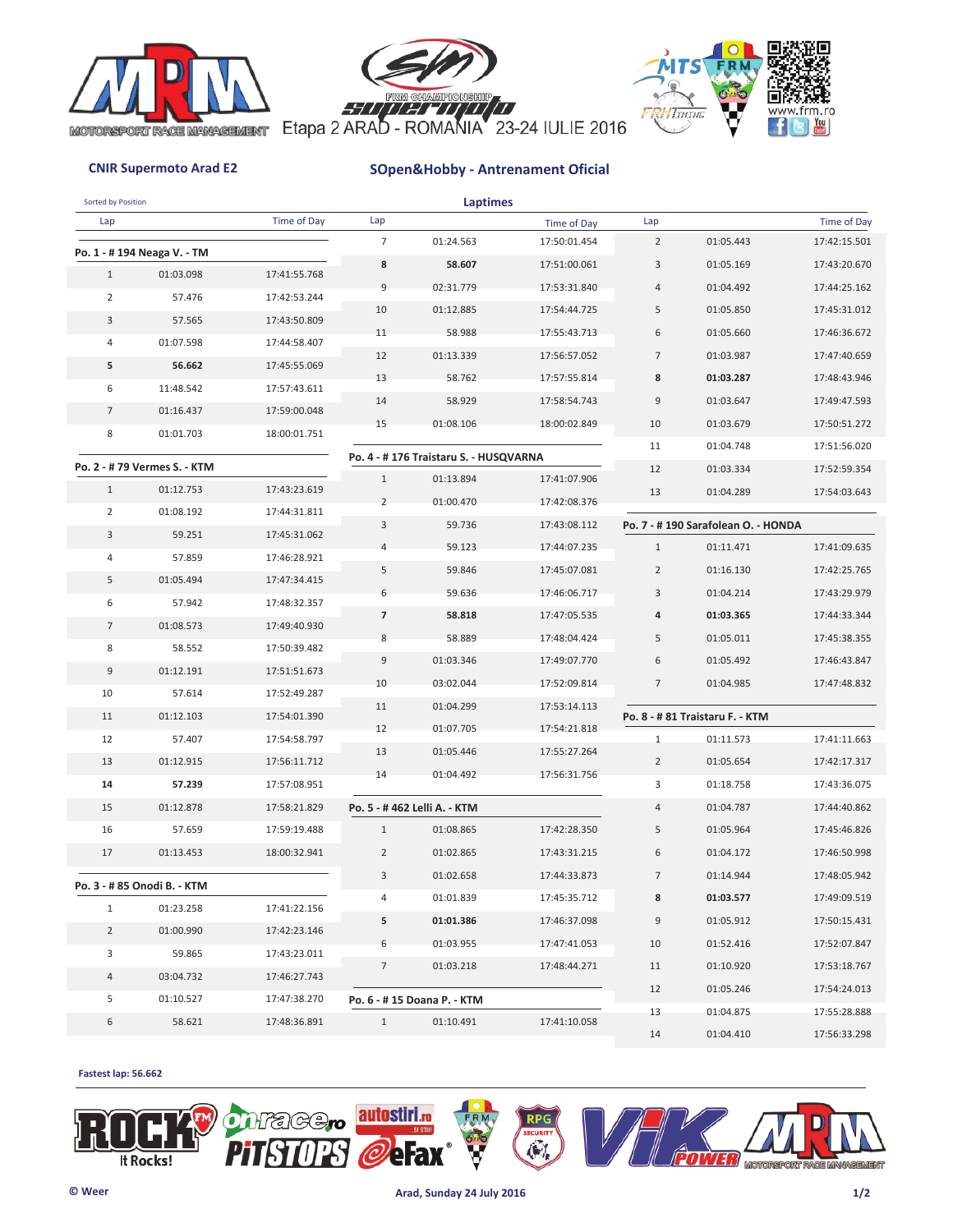





| Sorted by Position |                              |              |                          | <b>Laptimes</b>                       |                              |                |                                    |                              |
|--------------------|------------------------------|--------------|--------------------------|---------------------------------------|------------------------------|----------------|------------------------------------|------------------------------|
| Lap                |                              | Time of Day  | Lap                      |                                       | Time of Day                  | Lap            |                                    | Time of Day                  |
|                    | Po. 1 - #194 Neaga V. - TM   |              | $\overline{7}$           | 01:24.563                             | 17:50:01.454                 | $\overline{2}$ | 01:05.443                          | 17:42:15.501                 |
| $\mathbf{1}$       | 01:03.098                    | 17:41:55.768 | 8                        | 58.607                                | 17:51:00.061                 | 3              | 01:05.169                          | 17:43:20.670                 |
| $\overline{2}$     | 57.476                       | 17:42:53.244 | 9                        | 02:31.779                             | 17:53:31.840                 | $\overline{4}$ | 01:04.492                          | 17:44:25.162                 |
| 3                  | 57.565                       | 17:43:50.809 | 10                       | 01:12.885                             | 17:54:44.725                 | 5              | 01:05.850                          | 17:45:31.012                 |
|                    |                              |              | 11                       | 58.988                                | 17:55:43.713                 | 6              | 01:05.660                          | 17:46:36.672                 |
| 4                  | 01:07.598                    | 17:44:58.407 | 12                       | 01:13.339                             | 17:56:57.052                 | $\overline{7}$ | 01:03.987                          | 17:47:40.659                 |
| 5                  | 56.662                       | 17:45:55.069 | 13                       | 58.762                                | 17:57:55.814                 | 8              | 01:03.287                          | 17:48:43.946                 |
| 6                  | 11:48.542                    | 17:57:43.611 | 14                       | 58.929                                | 17:58:54.743                 | 9              | 01:03.647                          | 17:49:47.593                 |
| $\overline{7}$     | 01:16.437                    | 17:59:00.048 | 15                       | 01:08.106                             | 18:00:02.849                 | 10             | 01:03.679                          | 17:50:51.272                 |
| 8                  | 01:01.703                    | 18:00:01.751 |                          |                                       |                              | 11             | 01:04.748                          | 17:51:56.020                 |
|                    | Po. 2 - # 79 Vermes S. - KTM |              |                          | Po. 4 - #176 Traistaru S. - HUSQVARNA |                              | 12             | 01:03.334                          | 17:52:59.354                 |
| $\mathbf{1}$       | 01:12.753                    | 17:43:23.619 | $\mathbf{1}$             | 01:13.894                             | 17:41:07.906                 | 13             | 01:04.289                          | 17:54:03.643                 |
| 2                  | 01:08.192                    | 17:44:31.811 | $\overline{2}$           | 01:00.470                             | 17:42:08.376                 |                |                                    |                              |
| 3                  | 59.251                       | 17:45:31.062 | 3                        | 59.736                                | 17:43:08.112                 |                | Po. 7 - #190 Sarafolean O. - HONDA |                              |
| 4                  | 57.859                       | 17:46:28.921 |                          | 59.123                                | 17:44:07.235                 | $\mathbf{1}$   | 01:11.471                          | 17:41:09.635                 |
| 5                  | 01:05.494                    | 17:47:34.415 | 5                        | 59.846                                | 17:45:07.081                 | $\overline{2}$ | 01:16.130                          | 17:42:25.765                 |
| 6                  | 57.942                       | 17:48:32.357 | 6                        | 59.636                                | 17:46:06.717                 | 3              | 01:04.214                          | 17:43:29.979                 |
| $\overline{7}$     | 01:08.573                    | 17:49:40.930 | $\overline{\phantom{a}}$ | 58.818                                | 17:47:05.535                 | 4              | 01:03.365                          | 17:44:33.344                 |
| 8                  | 58.552                       | 17:50:39.482 | 8                        | 58.889                                | 17:48:04.424                 | 5              | 01:05.011                          | 17:45:38.355                 |
| 9                  | 01:12.191                    | 17:51:51.673 | $\overline{9}$           | 01:03.346                             | 17:49:07.770                 | 6              | 01:05.492                          | 17:46:43.847                 |
| 10                 | 57.614                       | 17:52:49.287 | 10                       | 03:02.044                             | 17:52:09.814                 | $\overline{7}$ | 01:04.985                          | 17:47:48.832                 |
| 11                 | 01:12.103                    | 17:54:01.390 | 11                       | 01:04.299                             | 17:53:14.113                 |                | Po. 8 - # 81 Traistaru F. - KTM    |                              |
| 12                 | 57.407                       | 17:54:58.797 | 12                       | 01:07.705                             | 17:54:21.818                 | $\mathbf{1}$   | 01:11.573                          | 17:41:11.663                 |
| 13                 | 01:12.915                    | 17:56:11.712 | 13                       | 01:05.446                             | 17:55:27.264                 | $\overline{2}$ | 01:05.654                          | 17:42:17.317                 |
| 14                 | 57.239                       | 17:57:08.951 | 14                       | 01:04.492                             | 17:56:31.756                 | 3              | 01:18.758                          | 17:43:36.075                 |
| 15                 | 01:12.878                    | 17:58:21.829 |                          | Po. 5 - #462 Lelli A. - KTM           |                              | $\overline{4}$ | 01:04.787                          | 17:44:40.862                 |
| 16                 | 57.659                       | 17:59:19.488 | $\mathbf{1}$             | 01:08.865                             | 17:42:28.350                 | 5              | 01:05.964                          | 17:45:46.826                 |
| 17                 | 01:13.453                    | 18:00:32.941 | $\overline{2}$           | 01:02.865                             | 17:43:31.215                 | 6              | 01:04.172                          | 17:46:50.998                 |
|                    |                              |              | 3                        | 01:02.658                             | 17:44:33.873                 | $\overline{7}$ | 01:14.944                          | 17:48:05.942                 |
|                    | Po. 3 - # 85 Onodi B. - KTM  |              | 4                        | 01:01.839                             | 17:45:35.712                 | 8              | 01:03.577                          | 17:49:09.519                 |
| $\mathbf{1}$       | 01:23.258                    | 17:41:22.156 | 5                        | 01:01.386                             | 17:46:37.098                 | 9              | 01:05.912                          | 17:50:15.431                 |
| $\overline{2}$     | 01:00.990                    | 17:42:23.146 |                          |                                       |                              |                |                                    |                              |
| 3                  | 59.865                       | 17:43:23.011 | 6<br>$\overline{7}$      | 01:03.955                             | 17:47:41.053<br>17:48:44.271 | 10             | 01:52.416<br>01:10.920             | 17:52:07.847<br>17:53:18.767 |
| 4                  | 03:04.732                    | 17:46:27.743 |                          | 01:03.218                             |                              | 11             |                                    |                              |
| 5                  | 01:10.527                    | 17:47:38.270 |                          | Po. 6 - #15 Doana P. - KTM            |                              | 12             | 01:05.246                          | 17:54:24.013                 |
| 6                  | 58.621                       | 17:48:36.891 | $\mathbf{1}$             | 01:10.491                             | 17:41:10.058                 | 13             | 01:04.875                          | 17:55:28.888                 |
|                    |                              |              |                          |                                       |                              | 14             | 01:04.410                          | 17:56:33.298                 |

### **Fastest lap: 56.662**



 $\widetilde{\mathbb{C}}_k$ 

autostiri.ro

erax



MOTORSPORT RACE MANAGEMENT

Eil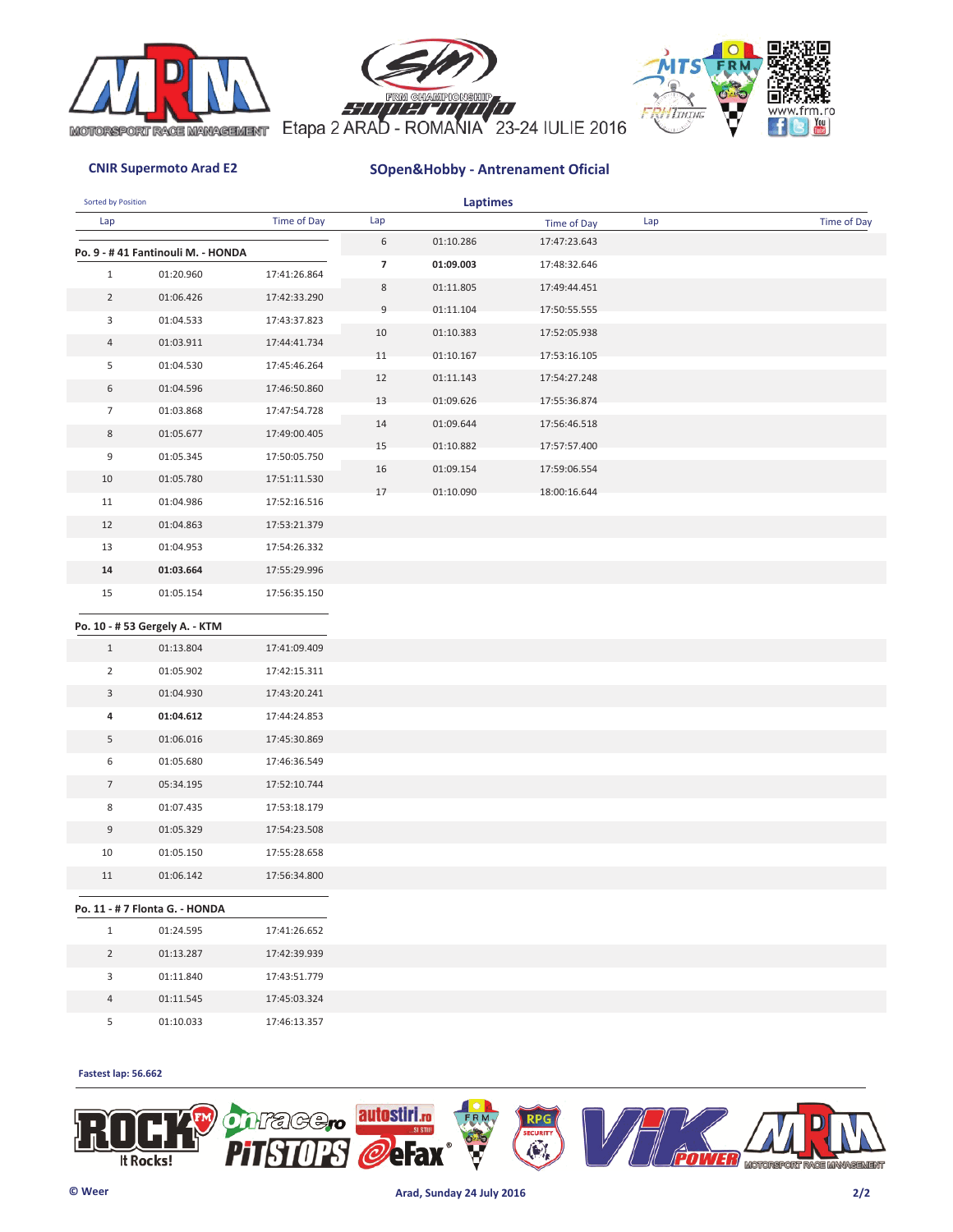





| Sorted by Position |                                             |              |                | <b>Laptimes</b> |              |     |             |
|--------------------|---------------------------------------------|--------------|----------------|-----------------|--------------|-----|-------------|
| Lap                |                                             | Time of Day  | Lap            |                 | Time of Day  | Lap | Time of Day |
|                    | Po. 9 - #41 Fantinouli M. - HONDA           |              | 6              | 01:10.286       | 17:47:23.643 |     |             |
| $\mathbf{1}$       | 01:20.960                                   | 17:41:26.864 | $\overline{7}$ | 01:09.003       | 17:48:32.646 |     |             |
| $\overline{2}$     | 01:06.426                                   | 17:42:33.290 | 8              | 01:11.805       | 17:49:44.451 |     |             |
| 3                  | 01:04.533                                   | 17:43:37.823 | 9              | 01:11.104       | 17:50:55.555 |     |             |
| 4                  | 01:03.911                                   | 17:44:41.734 | 10             | 01:10.383       | 17:52:05.938 |     |             |
| 5                  | 01:04.530                                   | 17:45:46.264 | 11             | 01:10.167       | 17:53:16.105 |     |             |
| 6                  | 01:04.596                                   | 17:46:50.860 | 12             | 01:11.143       | 17:54:27.248 |     |             |
| $\overline{7}$     | 01:03.868                                   | 17:47:54.728 | 13             | 01:09.626       | 17:55:36.874 |     |             |
| 8                  | 01:05.677                                   | 17:49:00.405 | 14             | 01:09.644       | 17:56:46.518 |     |             |
| 9                  | 01:05.345                                   | 17:50:05.750 | 15             | 01:10.882       | 17:57:57.400 |     |             |
|                    |                                             |              | 16             | 01:09.154       | 17:59:06.554 |     |             |
| 10                 | 01:05.780                                   | 17:51:11.530 | 17             | 01:10.090       | 18:00:16.644 |     |             |
| 11                 | 01:04.986                                   | 17:52:16.516 |                |                 |              |     |             |
| 12                 | 01:04.863                                   | 17:53:21.379 |                |                 |              |     |             |
| 13                 | 01:04.953                                   | 17:54:26.332 |                |                 |              |     |             |
| 14                 | 01:03.664                                   | 17:55:29.996 |                |                 |              |     |             |
| 15                 | 01:05.154                                   | 17:56:35.150 |                |                 |              |     |             |
|                    | Po. 10 - # 53 Gergely A. - KTM              |              |                |                 |              |     |             |
| $\mathbf{1}$       | 01:13.804                                   | 17:41:09.409 |                |                 |              |     |             |
| $\overline{2}$     | 01:05.902                                   | 17:42:15.311 |                |                 |              |     |             |
| 3                  | 01:04.930                                   | 17:43:20.241 |                |                 |              |     |             |
| 4                  | 01:04.612                                   | 17:44:24.853 |                |                 |              |     |             |
| 5                  | 01:06.016                                   | 17:45:30.869 |                |                 |              |     |             |
| 6                  | 01:05.680                                   | 17:46:36.549 |                |                 |              |     |             |
| $\overline{7}$     | 05:34.195                                   | 17:52:10.744 |                |                 |              |     |             |
| 8                  | 01:07.435                                   | 17:53:18.179 |                |                 |              |     |             |
| 9                  | 01:05.329                                   | 17:54:23.508 |                |                 |              |     |             |
| 10                 | 01:05.150                                   | 17:55:28.658 |                |                 |              |     |             |
| 11                 | 01:06.142                                   | 17:56:34.800 |                |                 |              |     |             |
|                    |                                             |              |                |                 |              |     |             |
| $\mathbf{1}$       | Po. 11 - # 7 Flonta G. - HONDA<br>01:24.595 | 17:41:26.652 |                |                 |              |     |             |
|                    |                                             |              |                |                 |              |     |             |
| $\overline{2}$     | 01:13.287                                   | 17:42:39.939 |                |                 |              |     |             |
| 3                  | 01:11.840                                   | 17:43:51.779 |                |                 |              |     |             |
| 4                  | 01:11.545                                   | 17:45:03.324 |                |                 |              |     |             |
| 5 <sub>1</sub>     | 01:10.033                                   | 17:46:13.357 |                |                 |              |     |             |

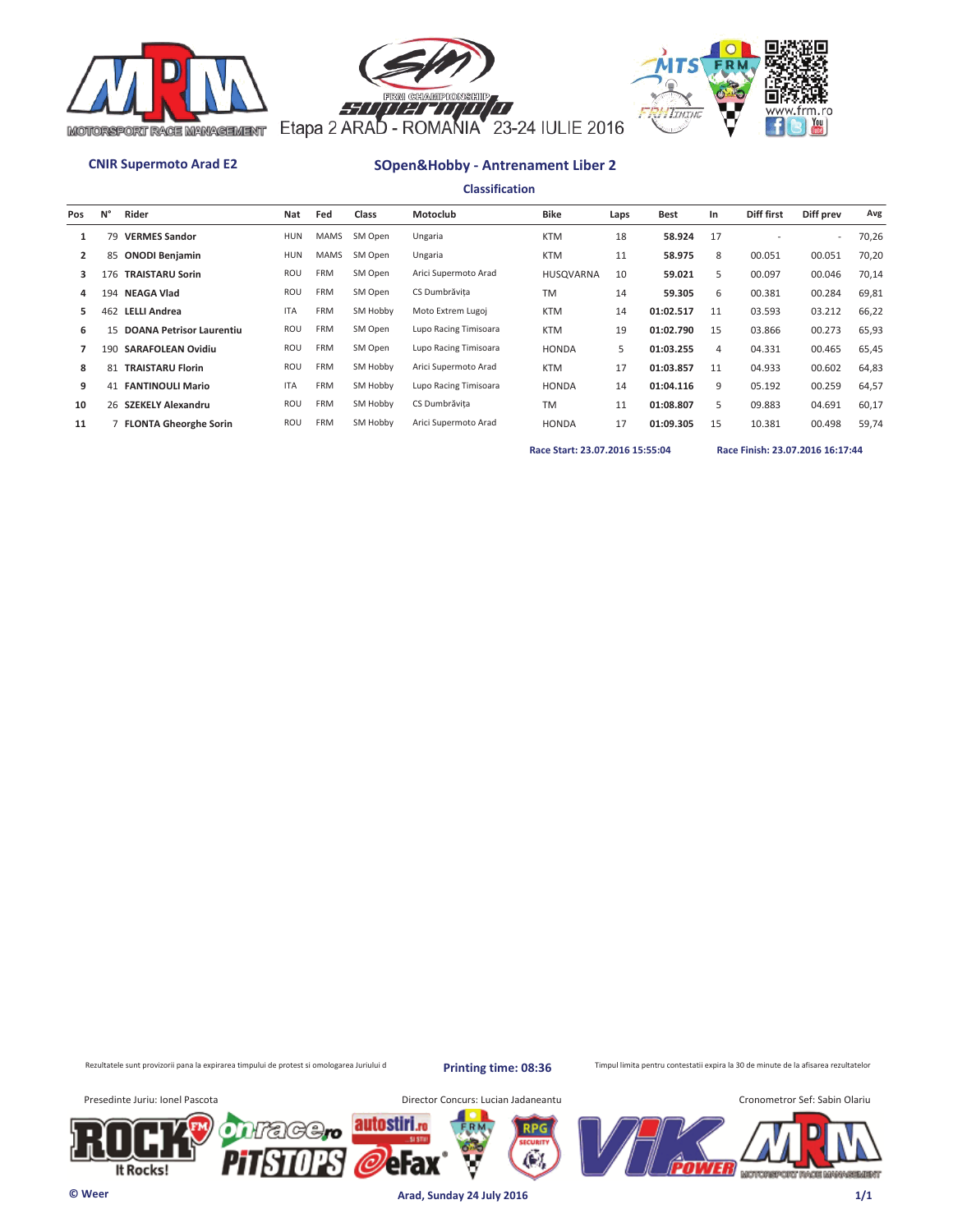





**Classification**

| Pos          | N°  | Rider                       | Nat        | Fed         | Class    | Motoclub              | <b>Bike</b>      | Laps | Best      | In | Diff first | Diff prev                | Avg   |
|--------------|-----|-----------------------------|------------|-------------|----------|-----------------------|------------------|------|-----------|----|------------|--------------------------|-------|
|              | 79  | <b>VERMES Sandor</b>        | HUN        | <b>MAMS</b> | SM Open  | Ungaria               | <b>KTM</b>       | 18   | 58.924    | 17 |            | $\overline{\phantom{a}}$ | 70,26 |
| $\mathbf{2}$ |     | 85 ONODI Benjamin           | HUN        | <b>MAMS</b> | SM Open  | Ungaria               | <b>KTM</b>       | 11   | 58.975    | 8  | 00.051     | 00.051                   | 70,20 |
| 3            | 176 | <b>TRAISTARU Sorin</b>      | ROU        | <b>FRM</b>  | SM Open  | Arici Supermoto Arad  | <b>HUSOVARNA</b> | 10   | 59.021    | 5  | 00.097     | 00.046                   | 70,14 |
| 4            | 194 | <b>NEAGA Vlad</b>           | <b>ROU</b> | <b>FRM</b>  | SM Open  | CS Dumbrăvita         | <b>TM</b>        | 14   | 59.305    | 6  | 00.381     | 00.284                   | 69,81 |
| 5.           | 462 | <b>LELLI Andrea</b>         | <b>ITA</b> | <b>FRM</b>  | SM Hobby | Moto Extrem Lugoj     | <b>KTM</b>       | 14   | 01:02.517 | 11 | 03.593     | 03.212                   | 66,22 |
| 6            |     | 15 DOANA Petrisor Laurentiu | ROU        | <b>FRM</b>  | SM Open  | Lupo Racing Timisoara | <b>KTM</b>       | 19   | 01:02.790 | 15 | 03.866     | 00.273                   | 65,93 |
|              | 190 | <b>SARAFOLEAN Ovidiu</b>    | ROU        | <b>FRM</b>  | SM Open  | Lupo Racing Timisoara | <b>HONDA</b>     | 5    | 01:03.255 | 4  | 04.331     | 00.465                   | 65,45 |
| 8            | 81  | <b>TRAISTARU Florin</b>     | <b>ROU</b> | <b>FRM</b>  | SM Hobby | Arici Supermoto Arad  | <b>KTM</b>       | 17   | 01:03.857 | 11 | 04.933     | 00.602                   | 64,83 |
| 9            |     | <b>41 FANTINOULI Mario</b>  | <b>ITA</b> | <b>FRM</b>  | SM Hobby | Lupo Racing Timisoara | <b>HONDA</b>     | 14   | 01:04.116 | 9  | 05.192     | 00.259                   | 64,57 |
| 10           |     | 26 SZEKELY Alexandru        | ROU        | <b>FRM</b>  | SM Hobby | CS Dumbrăvita         | <b>TM</b>        | 11   | 01:08.807 | 5. | 09.883     | 04.691                   | 60,17 |
| 11           |     | 7 FLONTA Gheorghe Sorin     | <b>ROU</b> | <b>FRM</b>  | SM Hobby | Arici Supermoto Arad  | <b>HONDA</b>     | 17   | 01:09.305 | 15 | 10.381     | 00.498                   | 59,74 |

**Race Start: 23.07.2016 15:55:04 Race Finish: 23.07.2016 16:17:44** 

Rezultatele sunt provizorii pana la expirarea timpului de protest si omologarea Juriului d

**Printing time: 08:36**

Æ.

Timpul limita pentru contestatii expira la 30 de minute de la afisarea rezultatelor

It Rocks!

Presedinte Juriu: Ionel Pascota **Director Concurs: Lucian Jadaneantu** 



**© Weer Arad, Sunday 24 July 2016 1/1**

autostiri.ro

erax

'C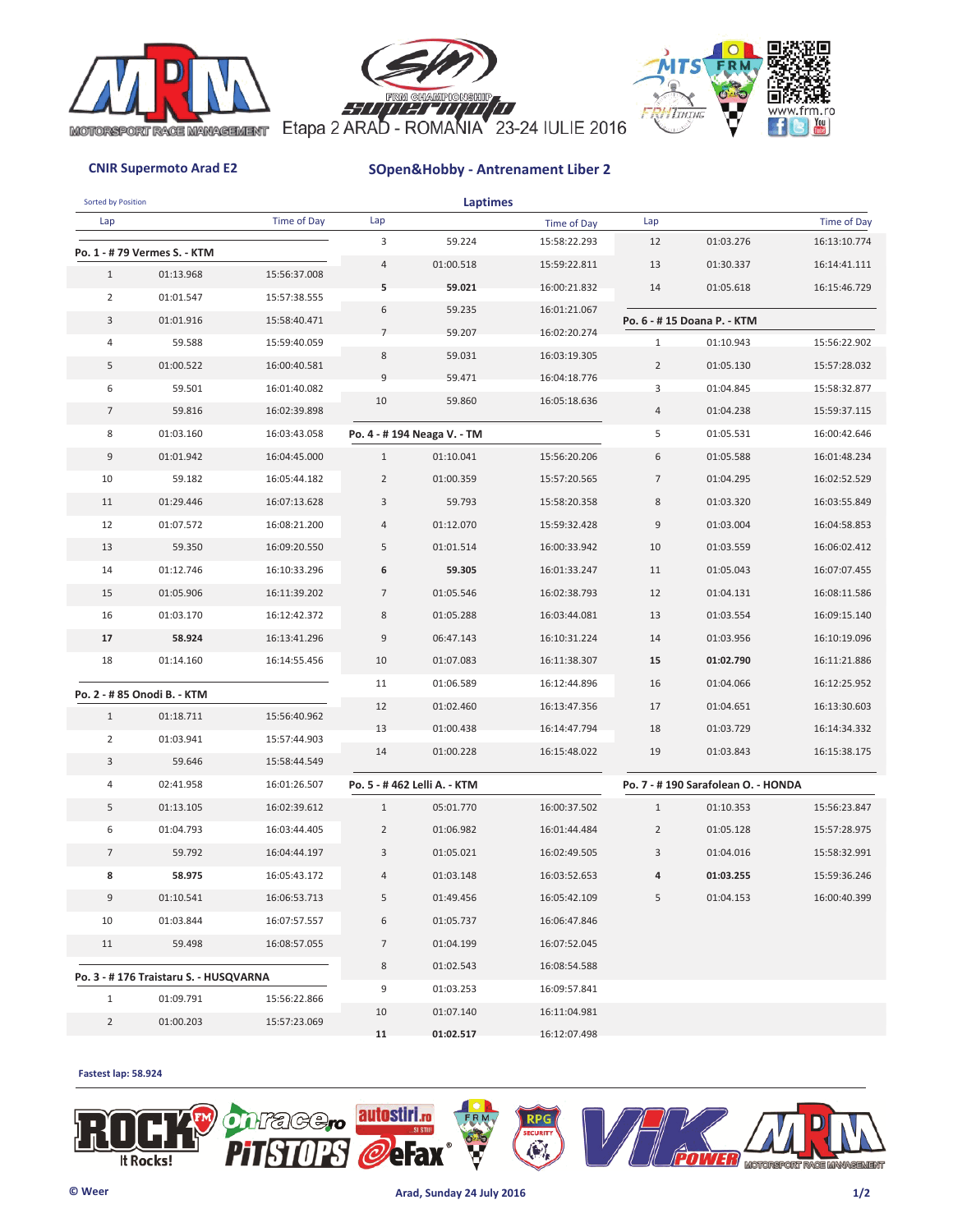





| Sorted by Position |                                       |              |                | <b>Laptimes</b>             |              |                |                                    |                              |
|--------------------|---------------------------------------|--------------|----------------|-----------------------------|--------------|----------------|------------------------------------|------------------------------|
| Lap                |                                       | Time of Day  | Lap            |                             | Time of Day  | Lap            |                                    | Time of Day                  |
|                    | Po. 1 - # 79 Vermes S. - KTM          |              | 3              | 59.224                      | 15:58:22.293 | 12             | 01:03.276                          | 16:13:10.774                 |
| $\mathbf{1}$       | 01:13.968                             | 15:56:37.008 | $\overline{4}$ | 01:00.518                   | 15:59:22.811 | 13             | 01:30.337                          | 16:14:41.111                 |
| $\overline{2}$     | 01:01.547                             | 15:57:38.555 | 5              | 59.021                      | 16:00:21.832 | 14             | 01:05.618                          | 16:15:46.729                 |
| 3                  | 01:01.916                             | 15:58:40.471 | 6              | 59.235                      | 16:01:21.067 |                | Po. 6 - #15 Doana P. - KTM         |                              |
| 4                  | 59.588                                | 15:59:40.059 | $\overline{7}$ | 59.207                      | 16:02:20.274 | $\mathbf{1}$   | 01:10.943                          | 15:56:22.902                 |
| 5                  | 01:00.522                             | 16:00:40.581 | 8              | 59.031                      | 16:03:19.305 | $\overline{2}$ | 01:05.130                          | 15:57:28.032                 |
| 6                  | 59.501                                | 16:01:40.082 | 9              | 59.471                      | 16:04:18.776 | 3              | 01:04.845                          | 15:58:32.877                 |
| $\overline{7}$     | 59.816                                | 16:02:39.898 | 10             | 59.860                      | 16:05:18.636 | $\overline{4}$ | 01:04.238                          | 15:59:37.115                 |
| 8                  | 01:03.160                             | 16:03:43.058 |                | Po. 4 - #194 Neaga V. - TM  |              | 5              | 01:05.531                          | 16:00:42.646                 |
| 9                  | 01:01.942                             | 16:04:45.000 | $\mathbf{1}$   | 01:10.041                   | 15:56:20.206 | 6              | 01:05.588                          | 16:01:48.234                 |
| 10                 | 59.182                                | 16:05:44.182 | $\overline{2}$ | 01:00.359                   | 15:57:20.565 | $\overline{7}$ | 01:04.295                          | 16:02:52.529                 |
| 11                 |                                       | 16:07:13.628 |                |                             |              | 8              | 01:03.320                          |                              |
| 12                 | 01:29.446                             | 16:08:21.200 | 3<br>4         | 59.793                      | 15:58:20.358 | 9              |                                    | 16:03:55.849<br>16:04:58.853 |
|                    | 01:07.572                             |              | 5              | 01:12.070                   | 15:59:32.428 |                | 01:03.004                          |                              |
| 13                 | 59.350                                | 16:09:20.550 |                | 01:01.514                   | 16:00:33.942 | 10             | 01:03.559                          | 16:06:02.412                 |
| 14                 | 01:12.746                             | 16:10:33.296 | 6              | 59.305                      | 16:01:33.247 | 11             | 01:05.043                          | 16:07:07.455                 |
| 15                 | 01:05.906                             | 16:11:39.202 | $\overline{7}$ | 01:05.546                   | 16:02:38.793 | 12             | 01:04.131                          | 16:08:11.586                 |
| 16                 | 01:03.170                             | 16:12:42.372 | 8              | 01:05.288                   | 16:03:44.081 | 13             | 01:03.554                          | 16:09:15.140                 |
| 17                 | 58.924                                | 16:13:41.296 | 9              | 06:47.143                   | 16:10:31.224 | 14             | 01:03.956                          | 16:10:19.096                 |
| 18                 | 01:14.160                             | 16:14:55.456 | 10             | 01:07.083                   | 16:11:38.307 | 15             | 01:02.790                          | 16:11:21.886                 |
|                    | Po. 2 - # 85 Onodi B. - KTM           |              | 11             | 01:06.589                   | 16:12:44.896 | 16             | 01:04.066                          | 16:12:25.952                 |
| $\mathbf{1}$       | 01:18.711                             | 15:56:40.962 | 12             | 01:02.460                   | 16:13:47.356 | 17             | 01:04.651                          | 16:13:30.603                 |
| $\overline{2}$     | 01:03.941                             | 15:57:44.903 | 13             | 01:00.438                   | 16:14:47.794 | 18             | 01:03.729                          | 16:14:34.332                 |
| 3                  | 59.646                                | 15:58:44.549 | 14             | 01:00.228                   | 16:15:48.022 | 19             | 01:03.843                          | 16:15:38.175                 |
| 4                  | 02:41.958                             | 16:01:26.507 |                | Po. 5 - #462 Lelli A. - KTM |              |                | Po. 7 - #190 Sarafolean O. - HONDA |                              |
| 5                  | 01:13.105                             | 16:02:39.612 | $\mathbf{1}$   | 05:01.770                   | 16:00:37.502 | $\mathbf{1}$   | 01:10.353                          | 15:56:23.847                 |
| 6                  | 01:04.793                             | 16:03:44.405 | $\overline{2}$ | 01:06.982                   | 16:01:44.484 | $\overline{2}$ | 01:05.128                          | 15:57:28.975                 |
| $\overline{7}$     | 59.792                                | 16:04:44.197 | 3              | 01:05.021                   | 16:02:49.505 | 3              | 01:04.016                          | 15:58:32.991                 |
| 8                  | 58.975                                | 16:05:43.172 | 4              | 01:03.148                   | 16:03:52.653 | 4              | 01:03.255                          | 15:59:36.246                 |
| 9                  | 01:10.541                             | 16:06:53.713 | 5              | 01:49.456                   | 16:05:42.109 | 5              | 01:04.153                          | 16:00:40.399                 |
| 10                 | 01:03.844                             | 16:07:57.557 | 6              | 01:05.737                   | 16:06:47.846 |                |                                    |                              |
| 11                 | 59.498                                | 16:08:57.055 | $\overline{7}$ | 01:04.199                   | 16:07:52.045 |                |                                    |                              |
|                    |                                       |              | 8              | 01:02.543                   | 16:08:54.588 |                |                                    |                              |
|                    | Po. 3 - #176 Traistaru S. - HUSQVARNA |              | 9              | 01:03.253                   | 16:09:57.841 |                |                                    |                              |
| $\mathbf{1}$       | 01:09.791                             | 15:56:22.866 | 10             | 01:07.140                   | 16:11:04.981 |                |                                    |                              |
| $\overline{2}$     | 01:00.203                             | 15:57:23.069 | 11             | 01:02.517                   | 16:12:07.498 |                |                                    |                              |
|                    |                                       |              |                |                             |              |                |                                    |                              |

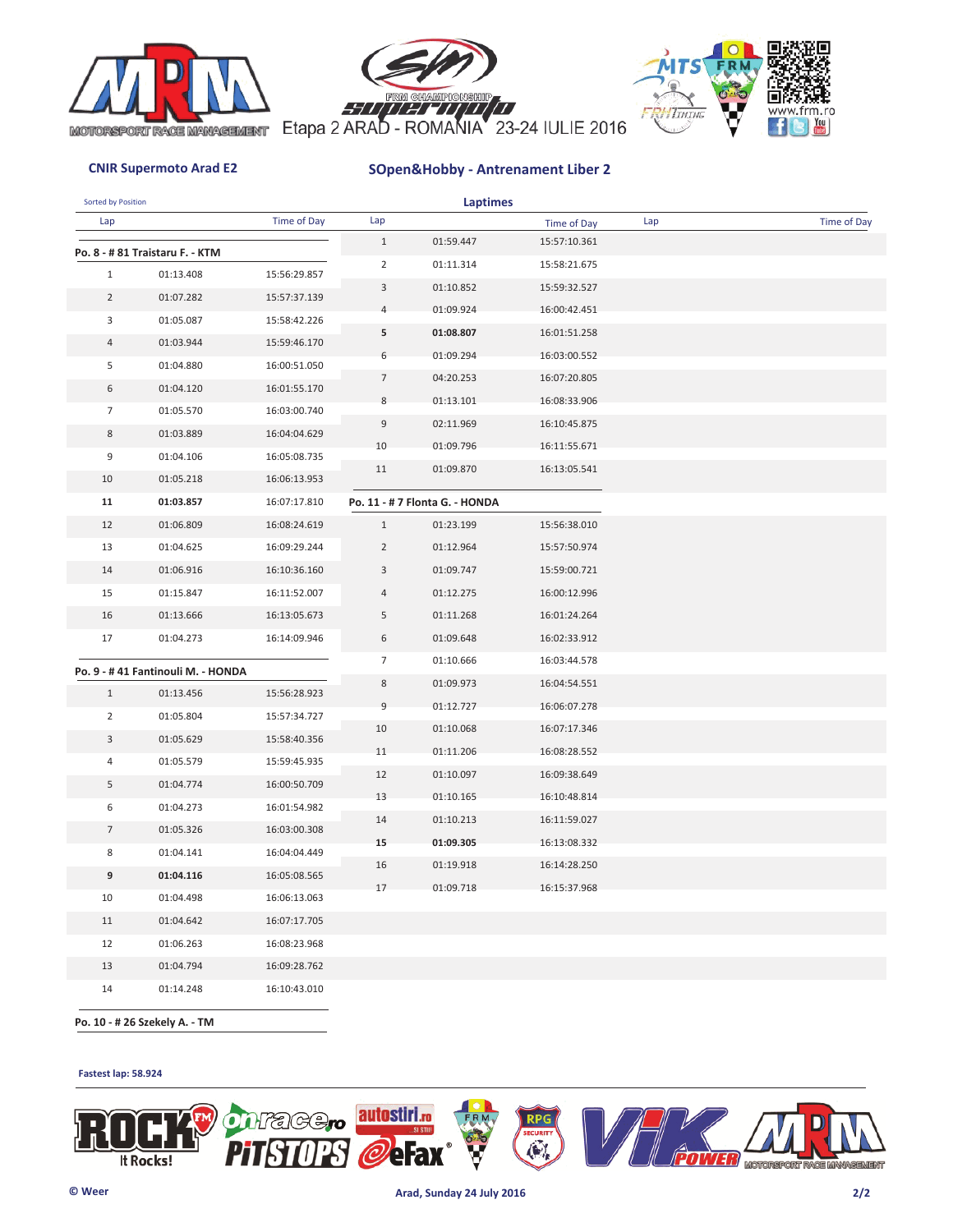





| Sorted by Position |                                   |              |                  | <b>Laptimes</b>                |              |     |             |
|--------------------|-----------------------------------|--------------|------------------|--------------------------------|--------------|-----|-------------|
| Lap                |                                   | Time of Day  | Lap              |                                | Time of Day  | Lap | Time of Day |
|                    | Po. 8 - # 81 Traistaru F. - KTM   |              | $1\,$            | 01:59.447                      | 15:57:10.361 |     |             |
| $\mathbf{1}$       | 01:13.408                         | 15:56:29.857 | $\overline{2}$   | 01:11.314                      | 15:58:21.675 |     |             |
| $\overline{2}$     | 01:07.282                         | 15:57:37.139 | 3                | 01:10.852                      | 15:59:32.527 |     |             |
| 3                  | 01:05.087                         | 15:58:42.226 | 4                | 01:09.924                      | 16:00:42.451 |     |             |
| $\overline{4}$     | 01:03.944                         | 15:59:46.170 | 5                | 01:08.807                      | 16:01:51.258 |     |             |
| 5                  | 01:04.880                         | 16:00:51.050 | 6                | 01:09.294                      | 16:03:00.552 |     |             |
| 6                  | 01:04.120                         | 16:01:55.170 | $\overline{7}$   | 04:20.253                      | 16:07:20.805 |     |             |
| $\overline{7}$     |                                   |              | 8                | 01:13.101                      | 16:08:33.906 |     |             |
|                    | 01:05.570                         | 16:03:00.740 | $\boldsymbol{9}$ | 02:11.969                      | 16:10:45.875 |     |             |
| 8                  | 01:03.889                         | 16:04:04.629 | 10               | 01:09.796                      | 16:11:55.671 |     |             |
| 9                  | 01:04.106                         | 16:05:08.735 | 11               | 01:09.870                      | 16:13:05.541 |     |             |
| 10                 | 01:05.218                         | 16:06:13.953 |                  |                                |              |     |             |
| 11                 | 01:03.857                         | 16:07:17.810 |                  | Po. 11 - # 7 Flonta G. - HONDA |              |     |             |
| 12                 | 01:06.809                         | 16:08:24.619 | $\mathbf{1}$     | 01:23.199                      | 15:56:38.010 |     |             |
| 13                 | 01:04.625                         | 16:09:29.244 | $\overline{2}$   | 01:12.964                      | 15:57:50.974 |     |             |
| 14                 | 01:06.916                         | 16:10:36.160 | 3                | 01:09.747                      | 15:59:00.721 |     |             |
| 15                 | 01:15.847                         | 16:11:52.007 | 4                | 01:12.275                      | 16:00:12.996 |     |             |
| 16                 | 01:13.666                         | 16:13:05.673 | 5                | 01:11.268                      | 16:01:24.264 |     |             |
| 17                 | 01:04.273                         | 16:14:09.946 | 6                | 01:09.648                      | 16:02:33.912 |     |             |
|                    | Po. 9 - #41 Fantinouli M. - HONDA |              | 7                | 01:10.666                      | 16:03:44.578 |     |             |
| $\mathbf{1}$       | 01:13.456                         | 15:56:28.923 | 8                | 01:09.973                      | 16:04:54.551 |     |             |
| $\overline{2}$     | 01:05.804                         | 15:57:34.727 | 9                | 01:12.727                      | 16:06:07.278 |     |             |
| $\mathbf{3}$       | 01:05.629                         | 15:58:40.356 | 10               | 01:10.068                      | 16:07:17.346 |     |             |
| $\sqrt{4}$         | 01:05.579                         | 15:59:45.935 | 11               | 01:11.206                      | 16:08:28.552 |     |             |
|                    |                                   |              | 12               | 01:10.097                      | 16:09:38.649 |     |             |
| 5                  | 01:04.774                         | 16:00:50.709 | 13               | 01:10.165                      | 16:10:48.814 |     |             |
| 6                  | 01:04.273                         | 16:01:54.982 | 14               | 01:10.213                      | 16:11:59.027 |     |             |
| $7\overline{ }$    | 01:05.326                         | 16:03:00.308 | 15               | 01:09.305                      | 16:13:08.332 |     |             |
| 8                  | 01:04.141                         | 16:04:04.449 | 16               | 01:19.918                      | 16:14:28.250 |     |             |
| 9                  | 01:04.116                         | 16:05:08.565 | 17               | 01:09.718                      | 16:15:37.968 |     |             |
| 10                 | 01:04.498                         | 16:06:13.063 |                  |                                |              |     |             |
| 11                 | 01:04.642                         | 16:07:17.705 |                  |                                |              |     |             |
| 12                 | 01:06.263                         | 16:08:23.968 |                  |                                |              |     |             |
| 13                 | 01:04.794                         | 16:09:28.762 |                  |                                |              |     |             |

 **Po. 10 - # 26 Szekely A. - TM**

14 16:10:43.010 01:14.248

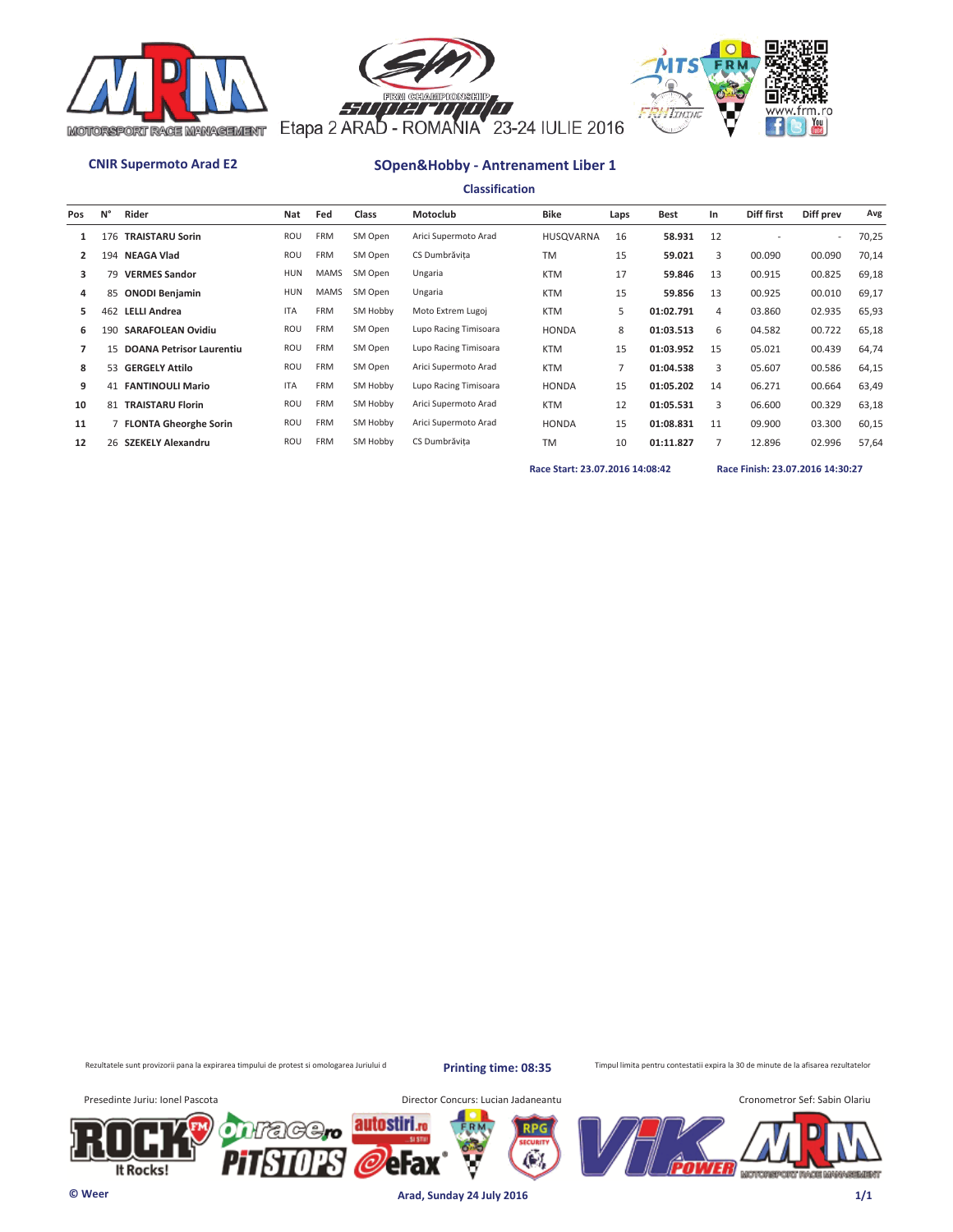





**Classification**

| Pos | N°  | Rider                       | Nat        | Fed         | Class    | Motoclub              | <b>Bike</b>      | Laps | <b>Best</b> | In | Diff first | Diff prev | Avg   |
|-----|-----|-----------------------------|------------|-------------|----------|-----------------------|------------------|------|-------------|----|------------|-----------|-------|
|     |     | 176 TRAISTARU Sorin         | ROU        | <b>FRM</b>  | SM Open  | Arici Supermoto Arad  | <b>HUSQVARNA</b> | 16   | 58.931      | 12 |            | $\sim$    | 70,25 |
| 2   |     | 194 NEAGA Vlad              | ROU        | <b>FRM</b>  | SM Open  | CS Dumbrăvita         | <b>TM</b>        | 15   | 59.021      | 3  | 00.090     | 00.090    | 70,14 |
| 3   | 79  | <b>VERMES Sandor</b>        | HUN        | <b>MAMS</b> | SM Open  | Ungaria               | <b>KTM</b>       | 17   | 59.846      | 13 | 00.915     | 00.825    | 69,18 |
| 4   | 85  | <b>ONODI Benjamin</b>       | HUN        | <b>MAMS</b> | SM Open  | Ungaria               | <b>KTM</b>       | 15   | 59.856      | 13 | 00.925     | 00.010    | 69,17 |
| 5.  | 462 | <b>LELLI Andrea</b>         | <b>ITA</b> | <b>FRM</b>  | SM Hobby | Moto Extrem Lugoj     | <b>KTM</b>       | 5    | 01:02.791   | 4  | 03.860     | 02.935    | 65,93 |
| 6   | 190 | <b>SARAFOLEAN Ovidiu</b>    | ROU        | <b>FRM</b>  | SM Open  | Lupo Racing Timisoara | <b>HONDA</b>     | 8    | 01:03.513   | 6  | 04.582     | 00.722    | 65,18 |
|     |     | 15 DOANA Petrisor Laurentiu | ROU        | <b>FRM</b>  | SM Open  | Lupo Racing Timisoara | <b>KTM</b>       | 15   | 01:03.952   | 15 | 05.021     | 00.439    | 64,74 |
| 8   |     | 53 GERGELY Attilo           | ROU        | <b>FRM</b>  | SM Open  | Arici Supermoto Arad  | <b>KTM</b>       | 7    | 01:04.538   | 3  | 05.607     | 00.586    | 64,15 |
| 9   | 41  | <b>FANTINOULI Mario</b>     | <b>ITA</b> | <b>FRM</b>  | SM Hobby | Lupo Racing Timisoara | <b>HONDA</b>     | 15   | 01:05.202   | 14 | 06.271     | 00.664    | 63,49 |
| 10  |     | 81 TRAISTARU Florin         | ROU        | <b>FRM</b>  | SM Hobby | Arici Supermoto Arad  | <b>KTM</b>       | 12   | 01:05.531   | 3  | 06.600     | 00.329    | 63,18 |
| 11  |     | 7 FLONTA Gheorghe Sorin     | ROU        | <b>FRM</b>  | SM Hobby | Arici Supermoto Arad  | <b>HONDA</b>     | 15   | 01:08.831   | 11 | 09.900     | 03.300    | 60,15 |
| 12  |     | 26 SZEKELY Alexandru        | ROU        | <b>FRM</b>  | SM Hobby | CS Dumbrăvita         | <b>TM</b>        | 10   | 01:11.827   |    | 12.896     | 02.996    | 57,64 |
|     |     |                             |            |             |          |                       |                  |      |             |    |            |           |       |

**Race Start: 23.07.2016 14:08:42 Race Finish: 23.07.2016 14:30:27** 

Rezultatele sunt provizorii pana la expirarea timpului de protest si omologarea Juriului d

**Printing time: 08:35**

Æ.

Timpul limita pentru contestatii expira la 30 de minute de la afisarea rezultatelor

It Rocks!

Presedinte Juriu: Ionel Pascota **Director Concurs: Lucian Jadaneantu** 



**© Weer Arad, Sunday 24 July 2016 1/1**

autostiri.ro

'C

eFax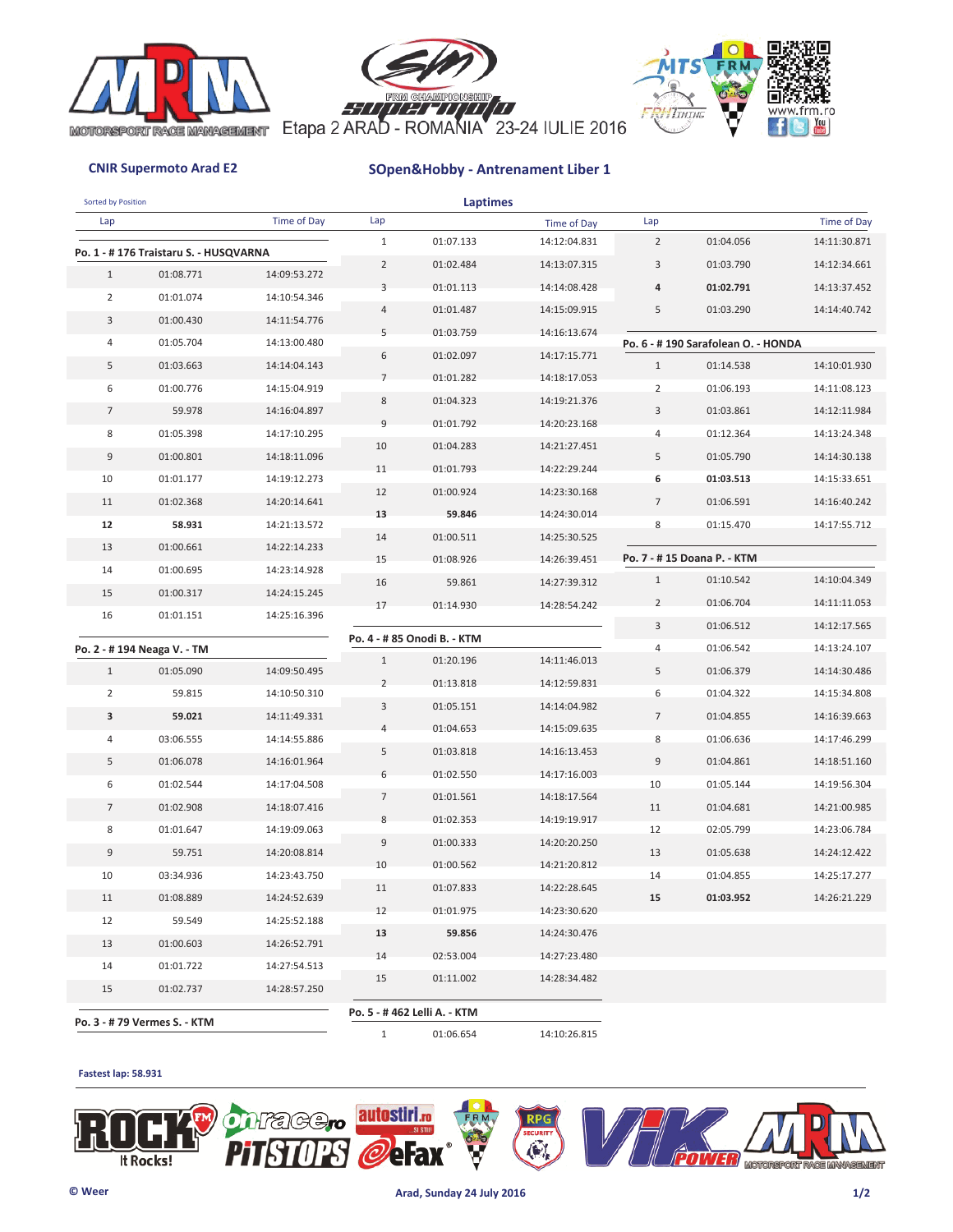





| Sorted by Position |                                       |                              |                         | <b>Laptimes</b>             |              |                |                                    |              |
|--------------------|---------------------------------------|------------------------------|-------------------------|-----------------------------|--------------|----------------|------------------------------------|--------------|
| Lap                |                                       | Time of Day                  | Lap                     |                             | Time of Day  | Lap            |                                    | Time of Day  |
|                    | Po. 1 - #176 Traistaru S. - HUSQVARNA |                              | $1\,$                   | 01:07.133                   | 14:12:04.831 | $\overline{2}$ | 01:04.056                          | 14:11:30.871 |
| $\mathbf{1}$       | 01:08.771                             | 14:09:53.272                 | $\overline{2}$          | 01:02.484                   | 14:13:07.315 | 3              | 01:03.790                          | 14:12:34.661 |
| $\overline{2}$     | 01:01.074                             | 14:10:54.346                 | 3                       | 01:01.113                   | 14:14:08.428 | 4              | 01:02.791                          | 14:13:37.452 |
| 3                  | 01:00.430                             | 14:11:54.776                 | $\overline{4}$          | 01:01.487                   | 14:15:09.915 | 5              | 01:03.290                          | 14:14:40.742 |
| 4                  | 01:05.704                             | 14:13:00.480                 | 5                       | 01:03.759                   | 14:16:13.674 |                | Po. 6 - #190 Sarafolean O. - HONDA |              |
| 5                  | 01:03.663                             | 14:14:04.143                 | 6                       | 01:02.097                   | 14:17:15.771 | $\mathbf{1}$   | 01:14.538                          | 14:10:01.930 |
| 6                  | 01:00.776                             | 14:15:04.919                 | $\overline{7}$          | 01:01.282                   | 14:18:17.053 | $\overline{2}$ | 01:06.193                          | 14:11:08.123 |
|                    |                                       |                              | 8                       | 01:04.323                   | 14:19:21.376 | 3              |                                    |              |
| $\overline{7}$     | 59.978                                | 14:16:04.897                 | 9                       | 01:01.792                   | 14:20:23.168 |                | 01:03.861                          | 14:12:11.984 |
| 8                  | 01:05.398                             | 14:17:10.295                 | 10                      | 01:04.283                   | 14:21:27.451 | 4              | 01:12.364                          | 14:13:24.348 |
| 9                  | 01:00.801                             | 14:18:11.096                 | 11                      | 01:01.793                   | 14:22:29.244 | 5              | 01:05.790                          | 14:14:30.138 |
| 10                 | 01:01.177                             | 14:19:12.273                 | 12                      | 01:00.924                   | 14:23:30.168 | 6              | 01:03.513                          | 14:15:33.651 |
| 11                 | 01:02.368                             | 14:20:14.641                 | 13                      | 59.846                      | 14:24:30.014 | $\overline{7}$ | 01:06.591                          | 14:16:40.242 |
| 12                 | 58.931                                | 14:21:13.572<br>14:22:14.233 | 14                      | 01:00.511                   | 14:25:30.525 | 8              | 01:15.470                          | 14:17:55.712 |
| 13                 | 01:00.661<br>01:00.695                |                              | 15                      | 01:08.926                   | 14:26:39.451 |                | Po. 7 - #15 Doana P. - KTM         |              |
| 14                 |                                       | 14:23:14.928                 | 16                      | 59.861                      | 14:27:39.312 | $\mathbf{1}$   | 01:10.542                          | 14:10:04.349 |
| 15<br>16           | 01:00.317<br>01:01.151                | 14:24:15.245<br>14:25:16.396 | 17                      | 01:14.930                   | 14:28:54.242 | $\overline{2}$ | 01:06.704                          | 14:11:11.053 |
|                    |                                       |                              |                         |                             |              | 3              | 01:06.512                          | 14:12:17.565 |
|                    | Po. 2 - #194 Neaga V. - TM            |                              |                         | Po. 4 - # 85 Onodi B. - KTM |              | 4              | 01:06.542                          | 14:13:24.107 |
| $\mathbf{1}$       | 01:05.090                             | 14:09:50.495                 | $1\,$<br>$\overline{2}$ | 01:20.196                   | 14:11:46.013 | 5              | 01:06.379                          | 14:14:30.486 |
| $\overline{2}$     | 59.815                                | 14:10:50.310                 |                         | 01:13.818                   | 14:12:59.831 | 6              | 01:04.322                          | 14:15:34.808 |
| 3                  | 59.021                                | 14:11:49.331                 | 3                       | 01:05.151                   | 14:14:04.982 | $\overline{7}$ | 01:04.855                          | 14:16:39.663 |
| 4                  | 03:06.555                             | 14:14:55.886                 | $\overline{4}$          | 01:04.653                   | 14:15:09.635 | 8              | 01:06.636                          | 14:17:46.299 |
| 5                  | 01:06.078                             | 14:16:01.964                 | 5                       | 01:03.818                   | 14:16:13.453 | 9              | 01:04.861                          | 14:18:51.160 |
| 6                  | 01:02.544                             | 14:17:04.508                 | 6                       | 01:02.550                   | 14:17:16.003 | 10             | 01:05.144                          | 14:19:56.304 |
| $\overline{7}$     | 01:02.908                             | 14:18:07.416                 | $\overline{7}$          | 01:01.561                   | 14:18:17.564 | 11             | 01:04.681                          | 14:21:00.985 |
| 8                  | 01:01.647                             | 14:19:09.063                 | 8                       | 01:02.353                   | 14:19:19.917 | 12             | 02:05.799                          | 14:23:06.784 |
| 9                  | 59.751                                | 14:20:08.814                 | $9\,$                   | 01:00.333                   | 14:20:20.250 | 13             | 01:05.638                          | 14:24:12.422 |
| 10                 | 03:34.936                             | 14:23:43.750                 | 10                      | 01:00.562                   | 14:21:20.812 | 14             | 01:04.855                          | 14:25:17.277 |
| 11                 | 01:08.889                             | 14:24:52.639                 | 11                      | 01:07.833                   | 14:22:28.645 | 15             | 01:03.952                          | 14:26:21.229 |
| 12                 | 59.549                                | 14:25:52.188                 | 12                      | 01:01.975                   | 14:23:30.620 |                |                                    |              |
| 13                 | 01:00.603                             | 14:26:52.791                 | 13                      | 59.856                      | 14:24:30.476 |                |                                    |              |
| 14                 | 01:01.722                             | 14:27:54.513                 | 14                      | 02:53.004                   | 14:27:23.480 |                |                                    |              |
| 15                 | 01:02.737                             | 14:28:57.250                 | 15                      | 01:11.002                   | 14:28:34.482 |                |                                    |              |
|                    |                                       |                              |                         | Po. 5 - #462 Lelli A. - KTM |              |                |                                    |              |
|                    | Po. 3 - # 79 Vermes S. - KTM          |                              | $\mathbf{1}$            | 01:06.654                   | 14:10:26.815 |                |                                    |              |